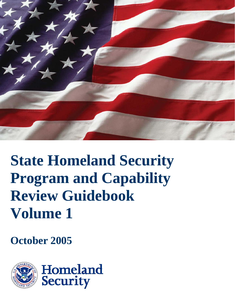

# **State Homeland Security Program and Capability Review Guidebook Volume 1**

**October 2005**

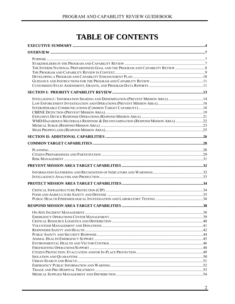# **TABLE OF CONTENTS**

| THE INTERIM NATIONAL PREPAREDNESS GOAL AND THE PROGRAM AND CAPABILITY REVIEW   |  |
|--------------------------------------------------------------------------------|--|
|                                                                                |  |
|                                                                                |  |
|                                                                                |  |
|                                                                                |  |
|                                                                                |  |
| INTELLIGENCE / INFORMATION SHARING AND DISSEMINATION (PREVENT MISSION AREA) 14 |  |
|                                                                                |  |
|                                                                                |  |
|                                                                                |  |
|                                                                                |  |
| WMD/HAZARDOUS MATERIALS RESPONSE & DECONTAMINATION (RESPOND MISSION AREA) 22   |  |
|                                                                                |  |
|                                                                                |  |
|                                                                                |  |
|                                                                                |  |
|                                                                                |  |
|                                                                                |  |
|                                                                                |  |
|                                                                                |  |
|                                                                                |  |
|                                                                                |  |
|                                                                                |  |
|                                                                                |  |
|                                                                                |  |
|                                                                                |  |
|                                                                                |  |
|                                                                                |  |
|                                                                                |  |
|                                                                                |  |
|                                                                                |  |
|                                                                                |  |
|                                                                                |  |
|                                                                                |  |
|                                                                                |  |
|                                                                                |  |
|                                                                                |  |
|                                                                                |  |
|                                                                                |  |
|                                                                                |  |
|                                                                                |  |
|                                                                                |  |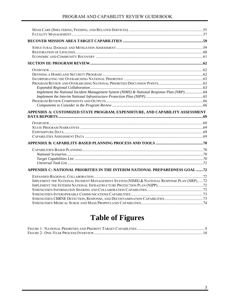| Implement the National Incident Management System (NIMS) & National Response Plan (NRP)64<br>APPENDIX A: CUSTOMIZED STATE PROGRAM, EXPENDITURE, AND CAPABILITY ASSESSMENT<br>APPENDIX C: NATIONAL PRIORITIES IN THE INTERIM NATIONAL PREPAREDNESS GOAL 72<br>IMPLEMENT THE NATIONAL INCIDENT MANAGEMENT SYSTEM (NIMS) & NATIONAL RESPONSE PLAN (NRP)72 |  |
|--------------------------------------------------------------------------------------------------------------------------------------------------------------------------------------------------------------------------------------------------------------------------------------------------------------------------------------------------------|--|
|                                                                                                                                                                                                                                                                                                                                                        |  |
|                                                                                                                                                                                                                                                                                                                                                        |  |
|                                                                                                                                                                                                                                                                                                                                                        |  |
|                                                                                                                                                                                                                                                                                                                                                        |  |
|                                                                                                                                                                                                                                                                                                                                                        |  |
|                                                                                                                                                                                                                                                                                                                                                        |  |
|                                                                                                                                                                                                                                                                                                                                                        |  |
|                                                                                                                                                                                                                                                                                                                                                        |  |
|                                                                                                                                                                                                                                                                                                                                                        |  |
|                                                                                                                                                                                                                                                                                                                                                        |  |
|                                                                                                                                                                                                                                                                                                                                                        |  |
|                                                                                                                                                                                                                                                                                                                                                        |  |
|                                                                                                                                                                                                                                                                                                                                                        |  |
|                                                                                                                                                                                                                                                                                                                                                        |  |
|                                                                                                                                                                                                                                                                                                                                                        |  |
|                                                                                                                                                                                                                                                                                                                                                        |  |
|                                                                                                                                                                                                                                                                                                                                                        |  |
|                                                                                                                                                                                                                                                                                                                                                        |  |
|                                                                                                                                                                                                                                                                                                                                                        |  |
|                                                                                                                                                                                                                                                                                                                                                        |  |
|                                                                                                                                                                                                                                                                                                                                                        |  |
|                                                                                                                                                                                                                                                                                                                                                        |  |
|                                                                                                                                                                                                                                                                                                                                                        |  |
|                                                                                                                                                                                                                                                                                                                                                        |  |
|                                                                                                                                                                                                                                                                                                                                                        |  |
|                                                                                                                                                                                                                                                                                                                                                        |  |
|                                                                                                                                                                                                                                                                                                                                                        |  |
|                                                                                                                                                                                                                                                                                                                                                        |  |
|                                                                                                                                                                                                                                                                                                                                                        |  |
|                                                                                                                                                                                                                                                                                                                                                        |  |
|                                                                                                                                                                                                                                                                                                                                                        |  |
|                                                                                                                                                                                                                                                                                                                                                        |  |
|                                                                                                                                                                                                                                                                                                                                                        |  |
|                                                                                                                                                                                                                                                                                                                                                        |  |

# **Table of Figures**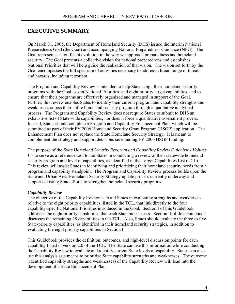# **EXECUTIVE SUMMARY**

On March 31, 2005, the Department of Homeland Security (DHS) issued the Interim National Preparedness Goal (the Goal) and accompanying National Preparedness Guidance (NPG). The Goal represents a significant evolution in the way we approach preparedness and homeland security. The Goal presents a collective vision for national preparedness and establishes National Priorities that will help guide the realization of that vision. The vision set forth by the Goal encompasses the full spectrum of activities necessary to address a broad range of threats and hazards, including terrorism.

The Program and Capability Review is intended to help States align their homeland security programs with the Goal, seven National Priorities, and eight priority target capabilities, and to ensure that their programs are effectively organized and managed in support of the Goal. Further, this review enables States to identify their current program and capability strengths and weaknesses across their entire homeland security program through a qualitative analytical process. The Program and Capability Review does not require States to submit to DHS an exhaustive list of State-wide capabilities, nor does it force a quantitative assessment process. Instead, States should complete a Program and Capability Enhancement Plan, which will be submitted as part of their FY 2006 Homeland Security Grant Program (HSGP) application. The Enhancement Plan does not replace the State Homeland Security Strategy. It is meant to complement the strategy and support decisions surrounding FY 2006 HSGP funding.

The purpose of the *State Homeland Security Program and Capability Review Guidebook Volume I* is to serve as a reference tool to aid States in conducting a review of their statewide homeland security program and level of capabilities, as identified in the Target Capabilities List (TCL). This review will assist States in identifying and prioritizing their homeland security needs from a program and capability standpoint. The Program and Capability Review process builds upon the State and Urban Area Homeland Security Strategy update process currently underway and supports existing State efforts to strengthen homeland security programs.

#### *Capability Review*

The objective of the Capability Review is to aid States in evaluating strengths and weaknesses relative to the eight priority capabilities, listed in the TCL, that link directly to the four capability-specific National Priorities introduced in the Goal. Section I of this Guidebook addresses the eight priority capabilities that each State must assess. Section II of this Guidebook discusses the remaining 28 capabilities in the TCL. Also, States should evaluate the three to five State-priority capabilities, as identified in their homeland security strategies, in addition to evaluating the eight priority capabilities in Section I.

This Guidebook provides the definition, outcomes, and high-level discussion points for each capability listed in version 2.0 of the TCL. The State can use this information while conducting the Capability Review to evaluate and identify current State levels of capability. States can also use this analysis as a means to prioritize State capability strengths and weaknesses. The outcome (identified capability strengths and weaknesses) of the Capability Review will lead into the development of a State Enhancement Plan.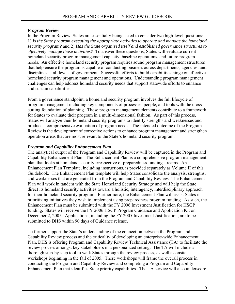#### *Program Review*

In the Program Review, States are essentially being asked to consider two high-level questions: 1) *Is the State program executing the appropriate activities to operate and manage the homeland security program?* and 2) *Has the State organized itself and established governance structures to effectively manage those activities?* To answer these questions, States will evaluate current homeland security program management capacity, baseline operations, and future program needs. An effective homeland security program requires sound program management structures that help ensure the program is capable of conducting business across departments, agencies, and disciplines at all levels of government. Successful efforts to build capabilities hinge on effective homeland security program management and operations. Understanding program management challenges can help address homeland security needs that support statewide efforts to enhance and sustain capabilities.

From a governance standpoint, a homeland security program involves the full lifecycle of program management including key components of processes, people, and tools with the crosscutting foundation of planning. These program management elements contribute to a framework for States to evaluate their program in a multi-dimensional fashion. As part of this process, States will analyze their homeland security programs to identify strengths and weaknesses and produce a comprehensive evaluation of program needs. The intended outcome of the Program Review is the development of corrective actions to enhance program management and strengthen operation areas that are most relevant to the State's homeland security program.

#### *Program and Capability Enhancement Plan*

The analytical output of the Program and Capability Review will be captured in the Program and Capability Enhancement Plan. The Enhancement Plan is a comprehensive program management plan that looks at homeland security irrespective of preparedness funding streams. An Enhancement Plan Template, including instructions, is provided separately as Volume II of this Guidebook. The Enhancement Plan template will help States consolidate the analysis, strengths, and weaknesses that are generated from the Program and Capability Review. The Enhancement Plan will work in tandem with the State Homeland Security Strategy and will help the State direct its homeland security activities toward a holistic, interagency, interdisciplinary approach for their homeland security program. Furthermore, the Enhancement Plan will assist States in prioritizing initiatives they wish to implement using preparedness program funding. As such, the Enhancement Plan must be submitted with the FY 2006 Investment Justification for HSGP funding. States will receive the FY 2006 HSGP Program Guidance and Application Kit on December 2, 2005. Applications, including the FY 2005 Investment Justification, are to be submitted to DHS within 90 days of Guidance release.

To further support the State's understanding of the connection between the Program and Capability Review process and the criticality of developing an enterprise-wide Enhancement Plan, DHS is offering Program and Capability Review Technical Assistance (TA) to facilitate the review process amongst key stakeholders in a personalized setting. The TA will include a thorough step-by-step tool to walk States through the review process, as well as onsite workshops beginning in the fall of 2005. These workshops will frame the overall process in conducting the Program and Capability Review and completing a Program and Capability Enhancement Plan that identifies State priority capabilities. The TA service will also underscore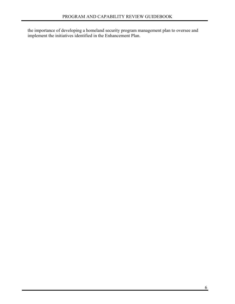the importance of developing a homeland security program management plan to oversee and implement the initiatives identified in the Enhancement Plan.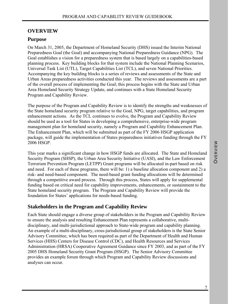# **OVERVIEW**

# **Purpose**

On March 31, 2005, the Department of Homeland Security (DHS) issued the Interim National Preparedness Goal (the Goal) and accompanying National Preparedness Guidance (NPG). The Goal establishes a vision for a preparedness system that is based largely on a capabilities-based planning process. Key building blocks for that system include the National Planning Scenarios, Universal Task List (UTL), Target Capabilities List (TCL), and seven National Priorities. Accompanying the key building blocks is a series of reviews and assessments of the State and Urban Areas preparedness activities conducted this year. The reviews and assessments are a part of the overall process of implementing the Goal; this process begins with the State and Urban Area Homeland Security Strategy Update, and continues with a State Homeland Security Program and Capability Review.

The purpose of the Program and Capability Review is to identify the strengths and weaknesses of the State homeland security program relative to the Goal, NPG, target capabilities, and program enhancement actions. As the TCL continues to evolve, the Program and Capability Review should be used as a tool for States in developing a comprehensive, enterprise-wide program management plan for homeland security, namely a Program and Capability Enhancement Plan. The Enhancement Plan, which will be submitted as part of the FY 2006 HSGP application package, will guide the implementation of States preparedness initiatives funding through the FY 2006 HSGP.

This year marks a significant change in how HSGP funds are allocated. The State and Homeland Security Program (SHSP), the Urban Area Security Initiative (UASI), and the Law Enforcement Terrorism Prevention Program (LETPP) Grant programs will be allocated in-part based on risk and need. For each of these programs, there will be: 1) a baseline allocation component and 2) a risk- and need-based component. The need-based grant funding allocations will be determined through a competitive award process. Through this process, States will apply for supplemental funding based on critical need for capability improvements, enhancements, or sustainment to the State homeland security program. The Program and Capability Review will provide the foundation for States' applications for needs-based funding.

# **Stakeholders in the Program and Capability Review**

Each State should engage a diverse group of stakeholders in the Program and Capability Review to ensure the analysis and resulting Enhancement Plan represents a collaborative, multidisciplinary, and multi-jurisdictional approach to State-wide program and capability planning. An example of a multi-disciplinary, cross-jurisdictional group of stakeholders is the State Senior Advisory Committee, which has been required as part of the Department of Health and Human Services (HHS) Centers for Disease Control (CDC), and Health Resources and Services Administration (HRSA) Cooperative Agreement Guidance since FY 2003, and as part of the FY 2005 DHS Homeland Security Grant Program (HSGP). The Senior Advisory Committee provides an example forum through which Program and Capability Review discussions and analyses can occur.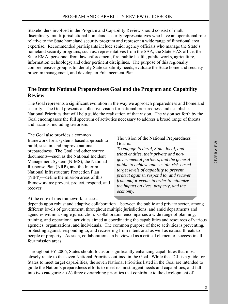Stakeholders involved in the Program and Capability Review should consist of multidisciplinary, multi-jurisdictional homeland security representatives who have an operational role relative to the State homeland security program and represent a wide range of functional area expertise. Recommended participants include senior agency officials who manage the State's homeland security programs, such as: representatives from the SAA, the State HAS office, the State EMA; personnel from law enforcement, fire, public health, public works, agriculture, information technology; and other pertinent disciplines. The purpose of this regionally comprehensive group is to identify State capability needs, evaluate the State homeland security program management, and develop an Enhancement Plan.

#### **The Interim National Preparedness Goal and the Program and Capability Review**

The Goal represents a significant evolution in the way we approach preparedness and homeland security. The Goal presents a collective vision for national preparedness and establishes National Priorities that will help guide the realization of that vision. The vision set forth by the Goal encompasses the full spectrum of activities necessary to address a broad range of threats and hazards, including terrorism.

The Goal also provides a common framework for a systems-based approach to build, sustain, and improve national preparedness. The Goal and other source documents—such as the National Incident Management System (NIMS), the National Response Plan (NRP), and the Interim National Infrastructure Protection Plan (NIPP)—define the mission areas of this framework as: prevent, protect, respond, and recover.

At the core of this framework, success

The vision of the National Preparedness Goal is:

*To engage Federal, State, local, and tribal entities, their private and nongovernmental partners, and the general public to achieve and sustain risk-based target levels of capability to prevent, protect against, respond to, and recover from major events in order to minimize the impact on lives, property, and the economy.* 

depends upon robust and adaptive collaboration—between the public and private sector, among different levels of government, throughout multiple jurisdictions, and amid departments and agencies within a single jurisdiction. Collaboration encompasses a wide range of planning, training, and operational activities aimed at coordinating the capabilities and resources of various agencies, organizations, and individuals. The common purpose of these activities is preventing, protecting against, responding to, and recovering from intentional as well as natural threats to people or property. As such, collaboration can be viewed as a critical element of success in all four mission areas.

Throughout FY 2006, States should focus on significantly enhancing capabilities that most closely relate to the seven National Priorities outlined in the Goal. While the TCL is a guide for States to meet target capabilities, the seven National Priorities listed in the Goal are intended to guide the Nation's preparedness efforts to meet its most urgent needs and capabilities, and fall into two categories: (A) three overarching priorities that contribute to the development of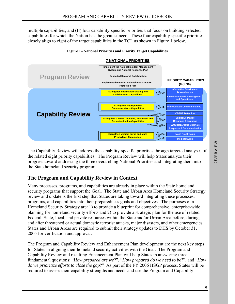multiple capabilities, and (B) four capability-specific priorities that focus on building selected capabilities for which the Nation has the greatest need. These four capability-specific priorities closely align to eight of the target capabilities in the TCL as shown in Figure 1 below.



#### **Figure 1– National Priorities and Priority Target Capabilities**

The Capability Review will address the capability-specific priorities through targeted analyses of the related eight priority capabilities. The Program Review will help States analyze their progress toward addressing the three overarching National Priorities and integrating them into the State homeland security program.

# **The Program and Capability Review in Context**

Many processes, programs, and capabilities are already in place within the State homeland security programs that support the Goal. The State and Urban Area Homeland Security Strategy review and update is the first step that States are taking toward integrating these processes, programs, and capabilities into their preparedness goals and objectives. The purposes of a Homeland Security Strategy are: 1) to provide a blueprint for comprehensive, enterprise-wide planning for homeland security efforts and 2) to provide a strategic plan for the use of related Federal, State, local, and private resources within the State and/or Urban Area before, during, and after threatened or actual domestic terrorist attacks, major disasters, and other emergencies. States and Urban Areas are required to submit their strategy updates to DHS by October 31, 2005 for verification and approval.

The Program and Capability Review and Enhancement Plan development are the next key steps for States in aligning their homeland security activities with the Goal. The Program and Capability Review and resulting Enhancement Plan will help States in answering three fundamental questions: "*How prepared are we*?", "*How prepared do we need to be*?", and "*How do we prioritize efforts to close the gap*?" As part of the FY 2006 HSGP process, States will be required to assess their capability strengths and needs and use the Program and Capability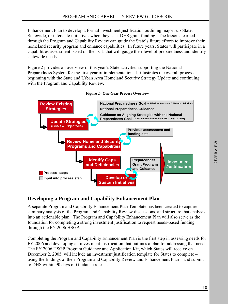Enhancement Plan to develop a formal investment justification outlining major sub-State, Statewide, or interstate initiatives when they seek DHS grant funding. The lessons learned through the Program and Capability Review can guide the State's future efforts to improve their homeland security program and enhance capabilities. In future years, States will participate in a capabilities assessment based on the TCL that will gauge their level of preparedness and identify statewide needs.

Figure 2 provides an overview of this year's State activities supporting the National Preparedness System for the first year of implementation. It illustrates the overall process beginning with the State and Urban Area Homeland Security Strategy Update and continuing with the Program and Capability Review.



#### **Figure 2– One-Year Process Overview**

# **Developing a Program and Capability Enhancement Plan**

A separate Program and Capability Enhancement Plan Template has been created to capture summary analysis of the Program and Capability Review discussions, and structure that analysis into an actionable plan. The Program and Capability Enhancement Plan will also serve as the foundation for completing a strong investment justification to request needs-based funding through the FY 2006 HSGP.

Completing the Program and Capability Enhancement Plan is the first step in assessing needs for FY 2006 and developing an investment justification that outlines a plan for addressing that need. The FY 2006 HSGP Program Guidance and Application Kit, which States will receive on December 2, 2005, will include an investment justification template for States to complete – using the findings of their Program and Capability Review and Enhancement Plan – and submit to DHS within 90 days of Guidance release.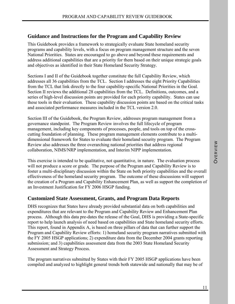# **Guidance and Instructions for the Program and Capability Review**

This Guidebook provides a framework to strategically evaluate State homeland security programs and capability levels, with a focus on program management structure and the seven National Priorities. States are encouraged to go above and beyond these requirements and address additional capabilities that are a priority for them based on their unique strategic goals and objectives as identified in their State Homeland Security Strategy.

Sections I and II of the Guidebook together constitute the full Capability Review, which addresses all 36 capabilities from the TCL. Section I addresses the eight Priority Capabilities from the TCL that link directly to the four capability-specific National Priorities in the Goal. Section II reviews the additional 28 capabilities from the TCL. Definitions, outcomes, and a series of high-level discussion points are provided for each priority capability. States can use these tools in their evaluation. These capability discussion points are based on the critical tasks and associated performance measures included in the TCL version 2.0.

Section III of the Guidebook, the Program Review, addresses program management from a governance standpoint. The Program Review involves the full lifecycle of program management, including key components of processes, people, and tools on top of the crosscutting foundation of planning. These program management elements contribute to a multidimensional framework for States to evaluate their homeland security program. The Program Review also addresses the three overarching national priorities that address regional collaboration, NIMS/NRP implementation, and Interim NIPP implementation.

This exercise is intended to be qualitative, not quantitative, in nature. The evaluation process will not produce a score or grade. The purpose of the Program and Capability Review is to foster a multi-disciplinary discussion within the State on both priority capabilities and the overall effectiveness of the homeland security program. The outcome of these discussions will support the creation of a Program and Capability Enhancement Plan, as well as support the completion of an Investment Justification for FY 2006 HSGP funding.

#### **Customized State Assessment, Grants, and Program Data Reports**

DHS recognizes that States have already provided substantial data on both capabilities and expenditures that are relevant to the Program and Capability Review and Enhancement Plan process. Although this data pre-dates the release of the Goal, DHS is providing a State-specific report to help launch analysis of need based on capabilities and State homeland security efforts. This report, found in Appendix A, is based on three pillars of data that can further support the Program and Capability Review efforts: 1) homeland security program narratives submitted with the FY 2005 HSGP applications; 2) expenditure data from the December 2004 grants reporting submission; and 3) capabilities assessment data from the 2003 State Homeland Security Assessment and Strategy Process.

The program narratives submitted by States with their FY 2005 HSGP applications have been compiled and analyzed to highlight general trends both statewide and nationally that may be of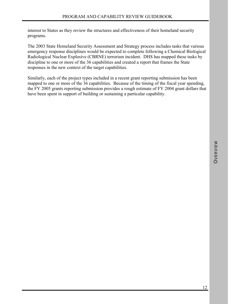interest to States as they review the structures and effectiveness of their homeland security programs.

The 2003 State Homeland Security Assessment and Strategy process includes tasks that various emergency response disciplines would be expected to complete following a Chemical Biological Radiological Nuclear Explosive (CBRNE) terrorism incident. DHS has mapped these tasks by discipline to one or more of the 36 capabilities and created a report that frames the State responses in the new context of the target capabilities.

Similarly, each of the project types included in a recent grant reporting submission has been mapped to one or more of the 36 capabilities. Because of the timing of the fiscal year spending, the FY 2005 grants reporting submission provides a rough estimate of FY 2004 grant dollars that have been spent in support of building or sustaining a particular capability.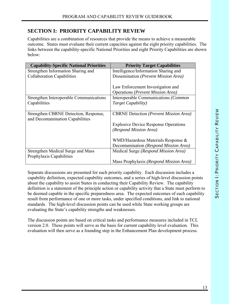# **SECTION I: PRIORITY CAPABILITY REVIEW**

Capabilities are a combination of resources that provide the means to achieve a measurable outcome. States must evaluate their current capacities against the eight priority capabilities. The links between the capability-specific National Priorities and eight Priority Capabilities are shown below:

| <b>Capability-Specific National Priorities</b>                            | <b>Priority Target Capabilities</b>                    |
|---------------------------------------------------------------------------|--------------------------------------------------------|
| Strengthen Information Sharing and                                        | Intelligence/Information Sharing and                   |
| <b>Collaboration Capabilities</b>                                         | Dissemination (Prevent Mission Area)                   |
|                                                                           | Law Enforcement Investigation and                      |
|                                                                           | Operations (Prevent Mission Area)                      |
| Strengthen Interoperable Communications                                   | Interoperable Communications (Common                   |
| Capabilities                                                              | Target Capability)                                     |
| Strengthen CBRNE Detection, Response,<br>and Decontamination Capabilities | <b>CBRNE</b> Detection ( <i>Prevent Mission Area</i> ) |
|                                                                           | <b>Explosive Device Response Operations</b>            |
|                                                                           | (Respond Mission Area)                                 |
|                                                                           | WMD/Hazardous Materials Response &                     |
|                                                                           | Decontamination (Respond Mission Area)                 |
| Strengthen Medical Surge and Mass<br>Prophylaxis Capabilities             | Medical Surge (Respond Mission Area)                   |
|                                                                           | Mass Prophylaxis (Respond Mission Area)                |

Separate discussions are presented for each priority capability. Each discussion includes a capability definition, expected capability outcomes, and a series of high-level discussion points about the capability to assist States in conducting their Capability Review. The capability definition is a statement of the principle action or capability activity that a State must perform to be deemed capable in the specific preparedness area. The expected outcomes of each capability result from performance of one or more tasks, under specified conditions, and link to national standards. The high-level discussion points can be used while State working groups are evaluating the State's capability strengths and weaknesses.

The discussion points are based on critical tasks and performance measures included in TCL version 2.0. These points will serve as the basis for current capability level evaluation. This evaluation will then serve as a founding step in the Enhancement Plan development process.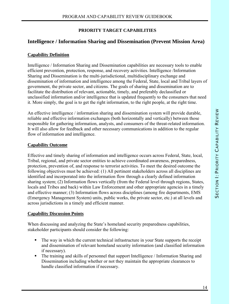#### **PRIORITY TARGET CAPABILITIES**

# **Intelligence / Information Sharing and Dissemination (Prevent Mission Area)**

#### **Capability Definition**

Intelligence / Information Sharing and Dissemination capabilities are necessary tools to enable efficient prevention, protection, response, and recovery activities. Intelligence /Information Sharing and Dissemination is the multi-jurisdictional, multidisciplinary exchange and dissemination of information and intelligence among the Federal, State, local and Tribal layers of government, the private sector, and citizens. The goals of sharing and dissemination are to facilitate the distribution of relevant, actionable, timely, and preferably declassified or unclassified information and/or intelligence that is updated frequently to the consumers that need it. More simply, the goal is to get the right information, to the right people, at the right time.

An effective intelligence / information sharing and dissemination system will provide durable, reliable and effective information exchanges (both horizontally and vertically) between those responsible for gathering information, analysts, and consumers of the threat-related information. It will also allow for feedback and other necessary communications in addition to the regular flow of information and intelligence.

#### **Capability Outcome**

Effective and timely sharing of information and intelligence occurs across Federal, State, local, Tribal, regional, and private sector entities to achieve coordinated awareness, preparedness, protection, prevention of, and response to terrorist activities. To meet the desired outcome the following objectives must be achieved: (1) All pertinent stakeholders across all disciplines are identified and incorporated into the information flow through a clearly defined information sharing system; (2) Information flows vertically (from the Federal level through regions, States, locals and Tribes and back) within Law Enforcement and other appropriate agencies in a timely and effective manner; (3) Information flows across disciplines (among fire departments, EMS (Emergency Management System) units, public works, the private sector, etc.) at all levels and across jurisdictions in a timely and efficient manner.

#### **Capability Discussion Points**

When discussing and analyzing the State's homeland security preparedness capabilities, stakeholder participants should consider the following:

- The way in which the current technical infrastructure in your State supports the receipt and dissemination of relevant homeland security information (and classified information if necessary).
- The training and skills of personnel that support Intelligence / Information Sharing and Dissemination including whether or not they maintain the appropriate clearances to handle classified information if necessary.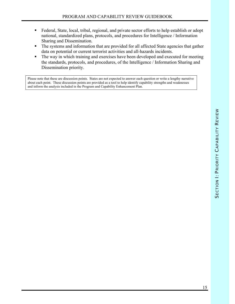- Federal, State, local, tribal, regional, and private sector efforts to help establish or adopt national, standardized plans, protocols, and procedures for Intelligence / Information Sharing and Dissemination.
- The systems and information that are provided for all affected State agencies that gather data on potential or current terrorist activities and all-hazards incidents.
- The way in which training and exercises have been developed and executed for meeting the standards, protocols, and procedures, of the Intelligence / Information Sharing and Dissemination priority.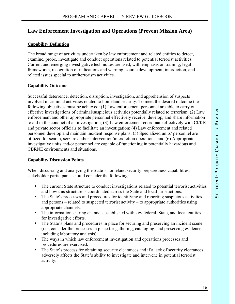# **Law Enforcement Investigation and Operations (Prevent Mission Area)**

#### **Capability Definition**

The broad range of activities undertaken by law enforcement and related entities to detect, examine, probe, investigate and conduct operations related to potential terrorist activities. Current and emerging investigative techniques are used, with emphasis on training, legal frameworks, recognition of indications and warning, source development, interdiction, and related issues special to antiterrorism activities.

#### **Capability Outcome**

Successful deterrence, detection, disruption, investigation, and apprehension of suspects involved in criminal activities related to homeland security. To meet the desired outcome the following objectives must be achieved: (1) Law enforcement personnel are able to carry out effective investigations of criminal/suspicious activities potentially related to terrorism; (2) Law enforcement and other appropriate personnel effectively receive, develop, and share information to aid in the conduct of an investigation; (3) Law enforcement coordinate effectively with CI/KR and private sector officials to facilitate an investigation; (4) Law enforcement and related personnel develop and maintain incident response plans; (5) Specialized units/ personnel are utilized for search, seizure and/or intervention/interdiction operations; and (6) Appropriate investigative units and/or personnel are capable of functioning in potentially hazardous and CBRNE environments and situations.

#### **Capability Discussion Points**

When discussing and analyzing the State's homeland security preparedness capabilities, stakeholder participants should consider the following:

- The current State structure to conduct investigations related to potential terrorist activities and how this structure is coordinated across the State and local jurisdictions.
- The State's processes and procedures for identifying and reporting suspicious activities and persons – related to suspected terrorist activity – to appropriate authorities using appropriate channels.
- The information sharing channels established with key federal, State, and local entities for investigative efforts.
- The State's plans and procedures in place for securing and preserving an incident scene (i.e., consider the processes in place for gathering, cataloging, and preserving evidence, including laboratory analysis).
- The ways in which law enforcement investigation and operations processes and procedures are exercised.
- The State's process for obtaining security clearances and if a lack of security clearances adversely affects the State's ability to investigate and intervene in potential terrorist activity.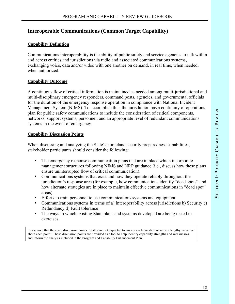# **Interoperable Communications (Common Target Capability)**

#### **Capability Definition**

Communications interoperability is the ability of public safety and service agencies to talk within and across entities and jurisdictions via radio and associated communications systems, exchanging voice, data and/or video with one another on demand, in real time, when needed, when authorized.

#### **Capability Outcome**

A continuous flow of critical information is maintained as needed among multi-jurisdictional and multi-disciplinary emergency responders, command posts, agencies, and governmental officials for the duration of the emergency response operation in compliance with National Incident Management System (NIMS). To accomplish this, the jurisdiction has a continuity of operations plan for public safety communications to include the consideration of critical components, networks, support systems, personnel, and an appropriate level of redundant communications systems in the event of emergency.

#### **Capability Discussion Points**

When discussing and analyzing the State's homeland security preparedness capabilities, stakeholder participants should consider the following:

- The emergency response communication plans that are in place which incorporate management structures following NIMS and NRP guidance (i.e., discuss how these plans ensure uninterrupted flow of critical communication).
- Communications systems that exist and how they operate reliably throughout the jurisdiction's response area (for example, how communications identify "dead spots" and how alternate strategies are in place to maintain effective communications in "dead spot" areas).
- Efforts to train personnel to use communications systems and equipment.
- Communications systems in terms of a) Interoperability across jurisdictions b) Security c) Redundancy d) Fault tolerance
- The ways in which existing State plans and systems developed are being tested in exercises.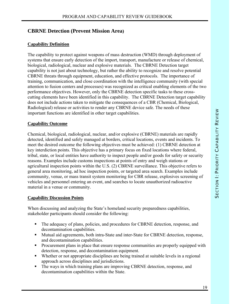# **CBRNE Detection (Prevent Mission Area)**

#### **Capability Definition**

The capability to protect against weapons of mass destruction (WMD) through deployment of systems that ensure early detection of the import, transport, manufacture or release of chemical, biological, radiological, nuclear and explosive materials. The CBRNE Detection target capability is not just about technology, but rather the ability to recognize and resolve potential CBRNE threats through equipment, education, and effective protocols. The importance of training, communication, and close coordination with the intelligence community (with special attention to fusion centers and processes) was recognized as critical enabling elements of the two performance objectives. However, only the CBRNE detection specific tasks to these crosscutting elements have been identified in this capability. The CBRNE Detection target capability does not include actions taken to mitigate the consequences of a CBR (Chemical, Biological, Radiological) release or activities to render any CBRNE device safe. The needs of these important functions are identified in other target capabilities.

#### **Capability Outcome**

Chemical, biological, radiological, nuclear, and/or explosive (CBRNE) materials are rapidly detected, identified and safely managed at borders, critical locations, events and incidents. To meet the desired outcome the following objectives must be achieved: (1) CBRNE detection at key interdiction points. This objective has a primary focus on fixed locations where federal, tribal, state, or local entities have authority to inspect people and/or goods for safety or security reasons. Examples include customs inspections at points of entry and weigh stations or agricultural inspection points within the U.S. (2) CBRNE surveillance. This objective refers to general area monitoring, ad hoc inspection points, or targeted area search. Examples include community, venue, or mass transit system monitoring for CBR release, explosives screening of vehicles and personnel entering an event, and searches to locate unauthorized radioactive material in a venue or community.

#### **Capability Discussion Points**

When discussing and analyzing the State's homeland security preparedness capabilities, stakeholder participants should consider the following:

- The adequacy of plans, policies, and procedures for CBRNE detection, response, and decontamination capabilities.
- Mutual aid agreements, both intra-State and inter-State for CBRNE detection, response, and decontamination capabilities.
- **Procurement plans in place that ensure response communities are properly equipped with** detection, response, and decontamination equipment.
- Whether or not appropriate disciplines are being trained at suitable levels in a regional approach across disciplines and jurisdictions.
- The ways in which training plans are improving CBRNE detection, response, and decontamination capabilities within the State.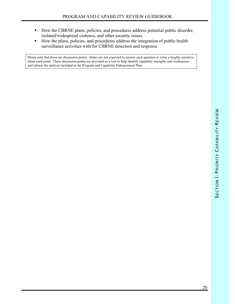- How the CBRNE plans, policies, and procedures address potential public disorder, isolated/widespread violence, and other security issues.
- How the plans, policies, and procedures address the integration of public health surveillance activities with/for CBRNE detection and response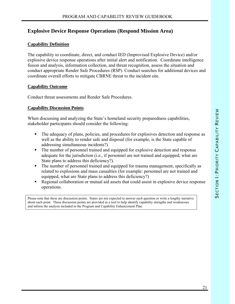# **Explosive Device Response Operations (Respond Mission Area)**

#### **Capability Definition**

The capability to coordinate, direct, and conduct IED (Improvised Explosive Device) and/or explosive device response operations after initial alert and notification. Coordinate intelligence fusion and analysis, information collection, and threat recognition, assess the situation and conduct appropriate Render Safe Procedures (RSP). Conduct searches for additional devices and coordinate overall efforts to mitigate CBRNE threat to the incident site.

#### **Capability Outcome**

Conduct threat assessments and Render Safe Procedures.

#### **Capability Discussion Points**

When discussing and analyzing the State's homeland security preparedness capabilities, stakeholder participants should consider the following:

- The adequacy of plans, policies, and procedures for explosives detection and response as well as the ability to render safe and disposal (for example, is the State capable of addressing simultaneous incidents?).
- The number of personnel trained and equipped for explosive detection and response adequate for the jurisdiction (i.e., if personnel are not trained and equipped, what are State plans to address this deficiency?).
- The number of personnel trained and equipped for trauma management, specifically as related to explosions and mass casualties (for example: personnel are not trained and equipped, what are State plans to address this deficiency?)
- Regional collaboration or mutual aid assets that could assist in explosive device response operations.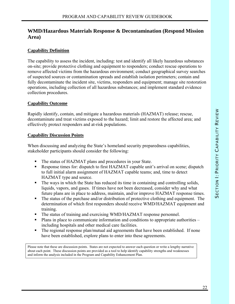# **WMD/Hazardous Materials Response & Decontamination (Respond Mission Area)**

#### **Capability Definition**

The capability to assess the incident, including: test and identify all likely hazardous substances on-site; provide protective clothing and equipment to responders; conduct rescue operations to remove affected victims from the hazardous environment; conduct geographical survey searches of suspected sources or contamination spreads and establish isolation perimeters; contain and fully decontaminate the incident site, victims, responders and equipment; manage site restoration operations, including collection of all hazardous substances; and implement standard evidence collection procedures.

#### **Capability Outcome**

Rapidly identify, contain, and mitigate a hazardous materials (HAZMAT) release; rescue, decontaminate and treat victims exposed to the hazard; limit and restore the affected area; and effectively protect responders and at-risk populations.

#### **Capability Discussion Points**

When discussing and analyzing the State's homeland security preparedness capabilities, stakeholder participants should consider the following:

- The status of HAZMAT plans and procedures in your State.
- Response times for: dispatch to first HAZMAT capable unit's arrival on scene; dispatch to full initial alarm assignment of HAZMAT capable teams; and, time to detect HAZMAT type and source.
- The ways in which the State has reduced its time in containing and controlling solids, liquids, vapors, and gases. If times have not been decreased, consider why and what future plans are in place to address, maintain, and/or improve HAZMAT response times.
- The status of the purchase and/or distribution of protective clothing and equipment. The determination of which first responders should receive WMD/HAZMAT equipment and training.
- The status of training and exercising WMD/HAZMAT response personnel.
- **Plans in place to communicate information and conditions to appropriate authorities** including hospitals and other medical care facilities.
- The regional response plan/mutual aid agreements that have been established. If none have been established, explore plans to enter into these agreements.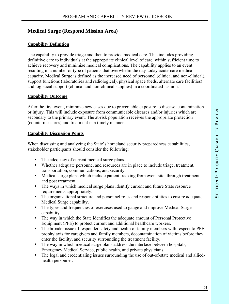# **Medical Surge (Respond Mission Area)**

#### **Capability Definition**

The capability to provide triage and then to provide medical care. This includes providing definitive care to individuals at the appropriate clinical level of care, within sufficient time to achieve recovery and minimize medical complications. The capability applies to an event resulting in a number or type of patients that overwhelm the day-today acute-care medical capacity. Medical Surge is defined as the increased need of personnel (clinical and non-clinical), support functions (laboratories and radiological), physical space (beds, alternate care facilities) and logistical support (clinical and non-clinical supplies) in a coordinated fashion.

#### **Capability Outcome**

After the first event, minimize new cases due to preventable exposure to disease, contamination or injury. This will include exposure from communicable diseases and/or injuries which are secondary to the primary event. The at-risk population receives the appropriate protection (countermeasures) and treatment in a timely manner.

#### **Capability Discussion Points**

When discussing and analyzing the State's homeland security preparedness capabilities, stakeholder participants should consider the following:

- The adequacy of current medical surge plans.
- Whether adequate personnel and resources are in place to include triage, treatment, transportation, communications, and security.
- Medical surge plans which include patient tracking from event site, through treatment and post treatment.
- The ways in which medical surge plans identify current and future State resource requirements appropriately.
- The organizational structure and personnel roles and responsibilities to ensure adequate Medical Surge capability.
- The types and frequencies of exercises used to gauge and improve Medical Surge capability.
- The way in which the State identifies the adequate amount of Personal Protective Equipment (PPE) to protect current and additional healthcare workers.
- The broader issue of responder safety and health of family members with respect to PPE, prophylaxis for caregivers and family members, decontamination of victims before they enter the facility, and security surrounding the treatment facility.
- The way in which medical surge plans address the interface between hospitals, Emergency Medical Service, public health, and private physicians.
- The legal and credentialing issues surrounding the use of out-of-state medical and alliedhealth personnel.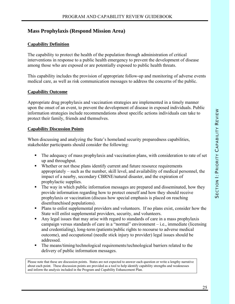# **Mass Prophylaxis (Respond Mission Area)**

#### **Capability Definition**

The capability to protect the health of the population through administration of critical interventions in response to a public health emergency to prevent the development of disease among those who are exposed or are potentially exposed to public health threats.

This capability includes the provision of appropriate follow-up and monitoring of adverse events medical care, as well as risk communication messages to address the concerns of the public.

#### **Capability Outcome**

Appropriate drug prophylaxis and vaccination strategies are implemented in a timely manner upon the onset of an event, to prevent the development of disease in exposed individuals. Public information strategies include recommendations about specific actions individuals can take to protect their family, friends and themselves.

#### **Capability Discussion Points**

When discussing and analyzing the State's homeland security preparedness capabilities, stakeholder participants should consider the following:

- The adequacy of mass prophylaxis and vaccination plans, with consideration to rate of set up and throughput.
- Whether or not these plans identify current and future resource requirements appropriately – such as the number, skill level, and availability of medical personnel, the impact of a nearby, secondary CBRNE/natural disaster, and the expiration of prophylactic supplies.
- The way in which public information messages are prepared and disseminated, how they provide information regarding how to protect oneself and how they should receive prophylaxis or vaccination (discuss how special emphasis is placed on reaching disenfranchised populations).
- **Plans to enlist supplemental providers and volunteers.** If no plans exist, consider how the State will enlist supplemental providers, security, and volunteers.
- Any legal issues that may arise with regard to standards of care in a mass prophylaxis campaign versus standards of care in a "normal" environment – i.e., immediate (licensing and credentialing), long-term (patients/public rights to recourse to adverse medical outcome), and occupational (needle stick injury to provider) legal issues should be addressed.
- The means/timing/technological requirements/technological barriers related to the delivery of public information messages.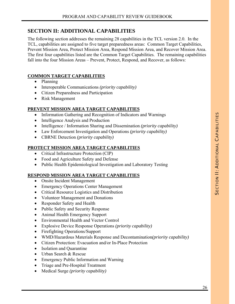# **SECTION II: ADDITIONAL CAPABILITIES**

The following section addresses the remaining 28 capabilities in the TCL version 2.0. In the TCL, capabilities are assigned to five target preparedness areas: Common Target Capabilities, Prevent Mission Area, Protect Mission Area, Respond Mission Area, and Recover Mission Area. The first four capabilities listed are the Common Target Capabilities. The remaining capabilities fall into the four Mission Areas – Prevent, Protect, Respond, and Recover, as follows:

#### **COMMON TARGET CAPABILITIES**

- Planning
- Interoperable Communications *(priority capability)*
- Citizen Preparedness and Participation
- Risk Management

#### **PREVENT MISSION AREA TARGET CAPABILITIES**

- Information Gathering and Recognition of Indicators and Warnings
- Intelligence Analysis and Production
- Intelligence / Information Sharing and Dissemination *(priority capability)*
- Law Enforcement Investigation and Operations *(priority capability)*
- CBRNE Detection *(priority capability)*

#### **PROTECT MISSION AREA TARGET CAPABILITIES**

- Critical Infrastructure Protection (CIP)
- Food and Agriculture Safety and Defense
- Public Health Epidemiological Investigation and Laboratory Testing

#### **RESPOND MISSION AREA TARGET CAPABILITIES**

- Onsite Incident Management
- Emergency Operations Center Management
- Critical Resource Logistics and Distribution
- Volunteer Management and Donations
- Responder Safety and Health
- Public Safety and Security Response
- Animal Health Emergency Support
- Environmental Health and Vector Control
- Explosive Device Response Operations *(priority capability)*
- Firefighting Operations/Support
- WMD/Hazardous Materials Response and Decontamination*(priority capability)*
- Citizen Protection: Evacuation and/or In-Place Protection
- Isolation and Quarantine
- Urban Search & Rescue
- Emergency Public Information and Warning
- Triage and Pre-Hospital Treatment
- Medical Surge *(priority capability)*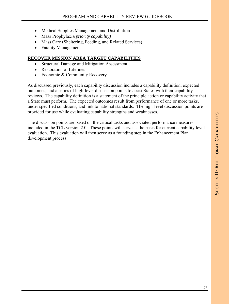- Medical Supplies Management and Distribution
- Mass Prophylaxis*(priority capability)*
- Mass Care (Sheltering, Feeding, and Related Services)
- Fatality Management

#### **RECOVER MISSION AREA TARGET CAPABILITIES**

- Structural Damage and Mitigation Assessment
- Restoration of Lifelines
- Economic & Community Recovery

As discussed previously, each capability discussion includes a capability definition, expected outcomes, and a series of high-level discussion points to assist States with their capability reviews. The capability definition is a statement of the principle action or capability activity that a State must perform. The expected outcomes result from performance of one or more tasks, under specified conditions, and link to national standards. The high-level discussion points are provided for use while evaluating capability strengths and weaknesses.

The discussion points are based on the critical tasks and associated performance measures included in the TCL version 2.0. These points will serve as the basis for current capability level evaluation. This evaluation will then serve as a founding step in the Enhancement Plan development process.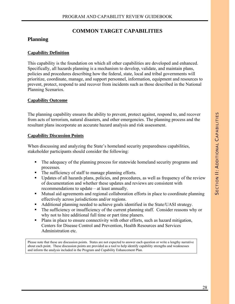# **COMMON TARGET CAPABILITIES**

#### **Planning**

#### **Capability Definition**

This capability is the foundation on which all other capabilities are developed and enhanced. Specifically, all hazards planning is a mechanism to develop, validate, and maintain plans, policies and procedures describing how the federal, state, local and tribal governments will prioritize, coordinate, manage, and support personnel, information, equipment and resources to prevent, protect, respond to and recover from incidents such as those described in the National Planning Scenarios.

#### **Capability Outcome**

The planning capability ensures the ability to prevent, protect against, respond to, and recover from acts of terrorism, natural disasters, and other emergencies. The planning process and the resultant plans incorporate an accurate hazard analysis and risk assessment.

#### **Capability Discussion Points**

When discussing and analyzing the State's homeland security preparedness capabilities, stakeholder participants should consider the following:

- The adequacy of the planning process for statewide homeland security programs and processes.
- The sufficiency of staff to manage planning efforts.
- Updates of all hazards plans, policies, and procedures, as well as frequency of the review of documentation and whether these updates and reviews are consistent with recommendations to update – at least annually.
- **Mutual aid agreements and regional collaboration efforts in place to coordinate planning** effectively across jurisdictions and/or regions.
- Additional planning needed to achieve goals identified in the State/UASI strategy.
- The sufficiency or insufficiency of the current planning staff. Consider reasons why or why not to hire additional full time or part time planers.
- Plans in place to ensure connectivity with other efforts, such as hazard mitigation, Centers for Disease Control and Prevention, Health Resources and Services Administration etc.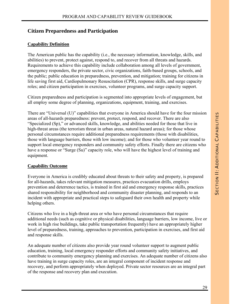# **Citizen Preparedness and Participation**

#### **Capability Definition**

The American public has the capability (i.e., the necessary information, knowledge, skills, and abilities) to prevent, protect against, respond to, and recover from all threats and hazards. Requirements to achieve this capability include collaboration among all levels of government, emergency responders, the private sector, civic organizations, faith-based groups, schools, and the public; public education in preparedness, prevention, and mitigation; training for citizens in life saving first aid, Cardiopulmonary Resuscitation (CPR), response skills, and surge capacity roles; and citizen participation in exercises, volunteer programs, and surge capacity support.

Citizen preparedness and participation is segmented into appropriate levels of engagement, but all employ some degree of planning, organizations, equipment, training, and exercises.

There are "Universal (U)" capabilities that everyone in America should have for the four mission areas of all-hazards preparedness: prevent, protect, respond, and recover. There are also "Specialized (Sp)," or advanced skills, knowledge, and abilities needed for those that live in high-threat areas (the terrorism threat in urban areas, natural hazard areas); for those whose personal circumstances require additional preparedness requirements (those with disabilities, those with language barriers, those with low income); and for those who volunteer year round to support local emergency responders and community safety efforts. Finally there are citizens who have a response or "Surge (Su)" capacity role, who will have the highest level of training and equipment.

#### **Capability Outcome**

Everyone in America is credibly educated about threats to their safety and property, is prepared for all-hazards, takes relevant mitigation measures, practices evacuation drills, employs prevention and deterrence tactics, is trained in first aid and emergency response skills, practices shared responsibility for neighborhood and community disaster planning, and responds to an incident with appropriate and practical steps to safeguard their own health and property while helping others.

Citizens who live in a high-threat area or who have personal circumstances that require additional needs (such as cognitive or physical disabilities, language barriers, low income, live or work in high rise buildings, take public transportation frequently) have an appropriately higher level of preparedness, training, approaches to prevention, participation in exercises, and first aid and response skills.

An adequate number of citizens also provide year round volunteer support to augment public education, training, local emergency responder efforts and community safety initiatives, and contribute to community emergency planning and exercises. An adequate number of citizens also have training in surge capacity roles, are an integral component of incident response and recovery, and perform appropriately when deployed. Private sector resources are an integral part of the response and recovery plan and execution.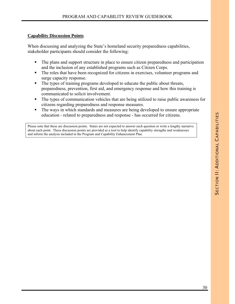#### **Capability Discussion Points**

When discussing and analyzing the State's homeland security preparedness capabilities, stakeholder participants should consider the following:

- The plans and support structure in place to ensure citizen preparedness and participation and the inclusion of any established programs such as Citizen Corps.
- The roles that have been recognized for citizens in exercises, volunteer programs and surge capacity response.
- The types of training programs developed to educate the public about threats, preparedness, prevention, first aid, and emergency response and how this training is communicated to solicit involvement.
- The types of communication vehicles that are being utilized to raise public awareness for citizens regarding preparedness and response measures.
- The ways in which standards and measures are being developed to ensure appropriate education - related to preparedness and response - has occurred for citizens.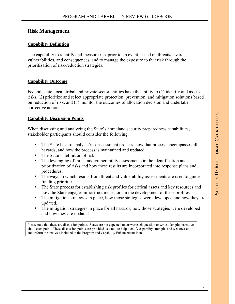#### **Risk Management**

#### **Capability Definition**

The capability to identify and measure risk prior to an event, based on threats/hazards, vulnerabilities, and consequences, and to manage the exposure to that risk through the prioritization of risk-reduction strategies.

#### **Capability Outcome**

Federal, state, local, tribal and private sector entities have the ability to (1) identify and assess risks, (2) prioritize and select appropriate protection, prevention, and mitigation solutions based on reduction of risk, and (3) monitor the outcomes of allocation decision and undertake corrective actions.

#### **Capability Discussion Points**

When discussing and analyzing the State's homeland security preparedness capabilities, stakeholder participants should consider the following:

- The State hazard analysis/risk assessment process, how that process encompasses all hazards, and how the process is maintained and updated.
- $\blacksquare$  The State's definition of risk.
- The leveraging of threat and vulnerability assessments in the identification and prioritization of risks and how these results are incorporated into response plans and procedures.
- The ways in which results from threat and vulnerability assessments are used to guide funding priorities.
- The State process for establishing risk profiles for critical assets and key resources and how the State engages infrastructure sectors in the development of these profiles.
- The mitigation strategies in place, how those strategies were developed and how they are updated.
- The mitigation strategies in place for all hazards, how those strategies were developed and how they are updated.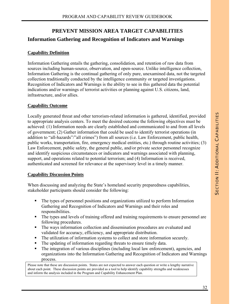# **PREVENT MISSION AREA TARGET CAPABILITIES Information Gathering and Recognition of Indicators and Warnings**

#### **Capability Definition**

Information Gathering entails the gathering, consolidation, and retention of raw data from sources including human-source, observation, and open-source. Unlike intelligence collection, Information Gathering is the continual gathering of only pure, unexamined data, not the targeted collection traditionally conducted by the intelligence community or targeted investigations. Recognition of Indicators and Warnings is the ability to see in this gathered data the potential indications and/or warnings of terrorist activities or planning against U.S. citizens, land, infrastructure, and/or allies.

#### **Capability Outcome**

Locally generated threat and other terrorism-related information is gathered, identified, provided to appropriate analysis centers. To meet the desired outcome the following objectives must be achieved: (1) Information needs are clearly established and communicated to and from all levels of government; (2) Gather information that could be used to identify terrorist operations (in addition to "all-hazards"/"all crimes") from all sources (i.e. Law Enforcement, public health, public works, transportation, fire, emergency medical entities, etc.) through routine activities; (3) Law Enforcement, public safety, the general public, and/or private sector personnel recognize and identify suspicious circumstances or indicators and warnings associated with planning, support, and operations related to potential terrorism; and (4) Information is received, authenticated and screened for relevance at the supervisory level in a timely manner.

#### **Capability Discussion Points**

When discussing and analyzing the State's homeland security preparedness capabilities, stakeholder participants should consider the following:

- The types of personnel positions and organizations utilized to perform Information Gathering and Recognition of Indicators and Warnings and their roles and responsibilities.
- The types and levels of training offered and training requirements to ensure personnel are following procedures.
- The ways information collection and dissemination procedures are evaluated and validated for accuracy, efficiency, and appropriate distribution.
- The utilization of information systems to collect and store information securely.
- The updating of information regarding threats to ensure timely data.
- The integration of various disciplines (including local law enforcement), agencies, and organizations into the Information Gathering and Recognition of Indicators and Warnings process.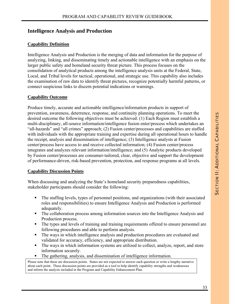# **Intelligence Analysis and Production**

#### **Capability Definition**

Intelligence Analysis and Production is the merging of data and information for the purpose of analyzing, linking, and disseminating timely and actionable intelligence with an emphasis on the larger public safety and homeland security threat picture. This process focuses on the consolidation of analytical products among the intelligence analysis units at the Federal, State, Local, and Tribal levels for tactical, operational, and strategic use. This capability also includes the examination of raw data to identify threat pictures, recognize potentially harmful patterns, or connect suspicious links to discern potential indications or warnings.

#### **Capability Outcome**

Produce timely, accurate and actionable intelligence/information products in support of prevention, awareness, deterrence, response, and continuity planning operations. To meet the desired outcome the following objectives must be achieved: (1) Each Region must establish a multi-disciplinary, all-source information/intelligence fusion enter/process which undertakes an "all-hazards" and "all crimes" approach; (2) Fusion center/processes and capabilities are staffed with individuals with the appropriate training and expertise during all operational hours to handle the receipt, analysis and dissemination of intelligence; (3) Intelligence analysts at Fusion center/process have access to and receive collected information; (4) Fusion center/process integrates and analyzes relevant information/intelligence; and (5) Analytic products developed by Fusion center/processes are consumer-tailored, clear, objective and support the development of performance-driven, risk-based prevention, protection, and response programs at all levels.

#### **Capability Discussion Points**

When discussing and analyzing the State's homeland security preparedness capabilities, stakeholder participants should consider the following:

- The staffing levels, types of personnel positions, and organizations (with their associated roles and responsibilities) to ensure Intelligence Analysis and Production is performed adequately.
- The collaboration process among information sources into the Intelligence Analysis and Production process.
- The types and levels of training and training requirements offered to ensure personnel are following procedures and able to perform analysis.
- The ways in which intelligence analysis and production procedures are evaluated and validated for accuracy, efficiency, and appropriate distribution.
- The ways in which information systems are utilized to collect, analyze, report, and store information securely.
- The gathering, analysis, and dissemination of intelligence information.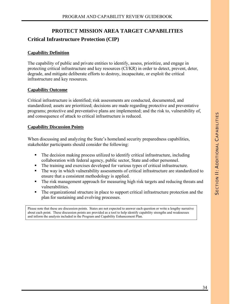# **PROTECT MISSION AREA TARGET CAPABILITIES**

# **Critical Infrastructure Protection (CIP)**

#### **Capability Definition**

The capability of public and private entities to identify, assess, prioritize, and engage in protecting critical infrastructure and key resources (CI/KR) in order to detect, prevent, deter, degrade, and mitigate deliberate efforts to destroy, incapacitate, or exploit the critical infrastructure and key resources.

#### **Capability Outcome**

Critical infrastructure is identified; risk assessments are conducted, documented, and standardized; assets are prioritized; decisions are made regarding protective and preventative programs; protective and preventative plans are implemented; and the risk to, vulnerability of, and consequence of attack to critical infrastructure is reduced.

#### **Capability Discussion Points**

When discussing and analyzing the State's homeland security preparedness capabilities, stakeholder participants should consider the following:

- The decision making process utilized to identify critical infrastructure, including collaboration with federal agency, public sector, State and other personnel.
- The training and exercises developed for various types of critical infrastructure.
- The way in which vulnerability assessments of critical infrastructure are standardized to ensure that a consistent methodology is applied.
- The risk management approach for measuring high risk targets and reducing threats and vulnerabilities.
- The organizational structure in place to support critical infrastructure protection and the plan for sustaining and evolving processes.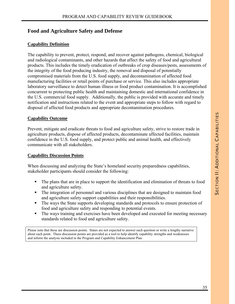# **Food and Agriculture Safety and Defense**

#### **Capability Definition**

The capability to prevent, protect, respond, and recover against pathogens, chemical, biological and radiological contaminants, and other hazards that affect the safety of food and agricultural products. This includes the timely eradication of outbreaks of crop diseases/pests, assessments of the integrity of the food producing industry, the removal and disposal of potentially compromised materials from the U.S. food supply, and decontamination of affected food manufacturing facilities or retail points of purchase or service. This also includes appropriate laboratory surveillance to detect human illness or food product contamination. It is accomplished concurrent to protecting public health and maintaining domestic and international confidence in the U.S. commercial food supply. Additionally, the public is provided with accurate and timely notification and instructions related to the event and appropriate steps to follow with regard to disposal of affected food products and appropriate decontamination procedures.

#### **Capability Outcome**

Prevent, mitigate and eradicate threats to food and agriculture safety, strive to restore trade in agriculture products, dispose of affected products, decontaminate affected facilities, maintain confidence in the U.S. food supply, and protect public and animal health, and effectively communicate with all stakeholders.

#### **Capability Discussion Points**

When discussing and analyzing the State's homeland security preparedness capabilities, stakeholder participants should consider the following:

- The plans that are in place to support the identification and elimination of threats to food and agriculture safety.
- The integration of personnel and various disciplines that are designed to maintain food and agriculture safety support capabilities and their responsibilities.
- The ways the State supports developing standards and protocols to ensure protection of food and agriculture safety and responding to potential events.
- The ways training and exercises have been developed and executed for meeting necessary standards related to food and agriculture safety.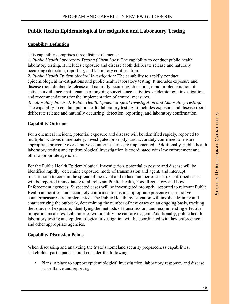# **Public Health Epidemiological Investigation and Laboratory Testing**

#### **Capability Definition**

This capability comprises three distinct elements:

*1. Public Health Laboratory Testing (Chem Lab)***:** The capability to conduct public health laboratory testing. It includes exposure and disease (both deliberate release and naturally occurring) detection, reporting, and laboratory confirmation.

*2. Public Health Epidemiological Investigation:* The capability to rapidly conduct epidemiological investigations and public health laboratory testing. It includes exposure and disease (both deliberate release and naturally occurring) detection, rapid implementation of active surveillance, maintenance of ongoing surveillance activities, epidemiologic investigation, and recommendations for the implementation of control measures.

*3. Laboratory Focused: Public Health Epidemiological Investigation and Laboratory Testing:*  The capability to conduct public health laboratory testing. It includes exposure and disease (both deliberate release and naturally occurring) detection, reporting, and laboratory confirmation.

#### **Capability Outcome**

For a chemical incident, potential exposure and disease will be identified rapidly, reported to multiple locations immediately, investigated promptly, and accurately confirmed to ensure appropriate preventive or curative countermeasures are implemented. Additionally, public health laboratory testing and epidemiological investigation is coordinated with law enforcement and other appropriate agencies.

For the Public Health Epidemiological Investigation, potential exposure and disease will be identified rapidly (determine exposure, mode of transmission and agent, and interrupt transmission to contain the spread of the event and reduce number of cases). Confirmed cases will be reported immediately to all relevant Public Health, Food Regulatory and Law Enforcement agencies. Suspected cases will be investigated promptly, reported to relevant Public Health authorities, and accurately confirmed to ensure appropriate preventive or curative countermeasures are implemented. The Public Health investigation will involve defining and characterizing the outbreak, determining the number of new cases on an ongoing basis, tracking the sources of exposure, identifying the methods of transmission, and recommending effective mitigation measures. Laboratories will identify the causative agent. Additionally, public health laboratory testing and epidemiological investigation will be coordinated with law enforcement and other appropriate agencies.

#### **Capability Discussion Points**

When discussing and analyzing the State's homeland security preparedness capabilities, stakeholder participants should consider the following:

 Plans in place to support epidemiological investigation, laboratory response, and disease surveillance and reporting.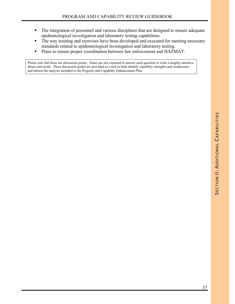- The integration of personnel and various disciplines that are designed to ensure adequate epidemiological investigation and laboratory testing capabilities.
- The way training and exercises have been developed and executed for meeting necessary standards related to epidemiological investigation and laboratory testing.
- **Plans to ensure proper coordination between law enforcement and HAZMAT.**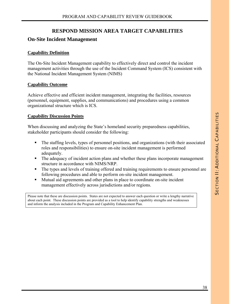# **RESPOND MISSION AREA TARGET CAPABILITIES**

## **On-Site Incident Management**

#### **Capability Definition**

The On-Site Incident Management capability to effectively direct and control the incident management activities through the use of the Incident Command System (ICS) consistent with the National Incident Management System (NIMS)

#### **Capability Outcome**

Achieve effective and efficient incident management, integrating the facilities, resources (personnel, equipment, supplies, and communications) and procedures using a common organizational structure which is ICS.

#### **Capability Discussion Points**

When discussing and analyzing the State's homeland security preparedness capabilities, stakeholder participants should consider the following:

- The staffing levels, types of personnel positions, and organizations (with their associated roles and responsibilities) to ensure on-site incident management is performed adequately.
- The adequacy of incident action plans and whether these plans incorporate management structure in accordance with NIMS/NRP.
- The types and levels of training offered and training requirements to ensure personnel are following procedures and able to perform on-site incident management.
- Mutual aid agreements and other plans in place to coordinate on-site incident management effectively across jurisdictions and/or regions.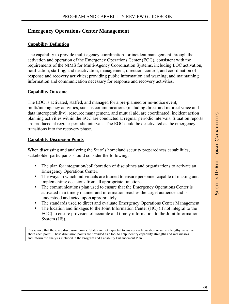# **Emergency Operations Center Management**

## **Capability Definition**

The capability to provide multi-agency coordination for incident management through the activation and operation of the Emergency Operations Center (EOC), consistent with the requirements of the NIMS for Multi-Agency Coordination Systems, including EOC activation, notification, staffing, and deactivation; management, direction, control, and coordination of response and recovery activities; providing public information and warning; and maintaining information and communication necessary for response and recovery activities.

## **Capability Outcome**

The EOC is activated, staffed, and managed for a pre-planned or no-notice event; multi/interagency activities, such as communications (including direct and indirect voice and data interoperability), resource management, and mutual aid, are coordinated; incident action planning activities within the EOC are conducted at regular periodic intervals. Situation reports are produced at regular periodic intervals. The EOC could be deactivated as the emergency transitions into the recovery phase.

#### **Capability Discussion Points**

When discussing and analyzing the State's homeland security preparedness capabilities, stakeholder participants should consider the following:

- The plan for integration/collaboration of disciplines and organizations to activate an Emergency Operations Center.
- The ways in which individuals are trained to ensure personnel capable of making and implementing decisions from all appropriate functions
- The communications plan used to ensure that the Emergency Operations Center is activated in a timely manner and information reaches the target audience and is understood and acted upon appropriately.
- The standards used to direct and evaluate Emergency Operations Center Management.
- The location and linkages to the Joint Information Center (JIC) (if not integral to the EOC) to ensure provision of accurate and timely information to the Joint Information System (JIS).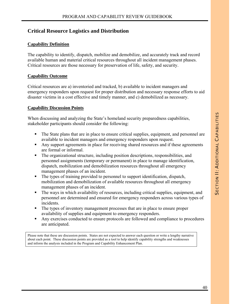# **Critical Resource Logistics and Distribution**

## **Capability Definition**

The capability to identify, dispatch, mobilize and demobilize, and accurately track and record available human and material critical resources throughout all incident management phases. Critical resources are those necessary for preservation of life, safety, and security.

### **Capability Outcome**

Critical resources are a) inventoried and tracked, b) available to incident managers and emergency responders upon request for proper distribution and necessary response efforts to aid disaster victims in a cost effective and timely manner, and c) demobilized as necessary.

#### **Capability Discussion Points**

When discussing and analyzing the State's homeland security preparedness capabilities, stakeholder participants should consider the following:

- The State plans that are in place to ensure critical supplies, equipment, and personnel are available to incident managers and emergency responders upon request.
- Any support agreements in place for receiving shared resources and if these agreements are formal or informal.
- The organizational structure, including position descriptions, responsibilities, and personnel assignments (temporary or permanent) in place to manage identification, dispatch, mobilization and demobilization resources throughout all emergency management phases of an incident.
- The types of training provided to personnel to support identification, dispatch, mobilization and demobilization of available resources throughout all emergency management phases of an incident.
- The ways in which availability of resources, including critical supplies, equipment, and personnel are determined and ensured for emergency responders across various types of incidents.
- The types of inventory management processes that are in place to ensure proper availability of supplies and equipment to emergency responders.
- Any exercises conducted to ensure protocols are followed and compliance to procedures are anticipated.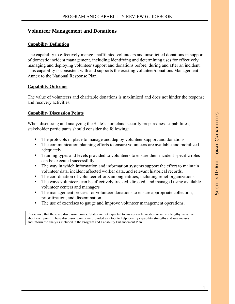# **Volunteer Management and Donations**

### **Capability Definition**

The capability to effectively mange unaffiliated volunteers and unsolicited donations in support of domestic incident management, including identifying and determining uses for effectively managing and deploying volunteer support and donations before, during and after an incident. This capability is consistent with and supports the existing volunteer/donations Management Annex to the National Response Plan.

#### **Capability Outcome**

The value of volunteers and charitable donations is maximized and does not hinder the response and recovery activities.

## **Capability Discussion Points**

When discussing and analyzing the State's homeland security preparedness capabilities, stakeholder participants should consider the following:

- The protocols in place to manage and deploy volunteer support and donations.
- The communication planning efforts to ensure volunteers are available and mobilized adequately.
- Training types and levels provided to volunteers to ensure their incident-specific roles can be executed successfully.
- The way in which information and information systems support the effort to maintain volunteer data, incident affected worker data, and relevant historical records.
- The coordination of volunteer efforts among entities, including relief organizations.
- The ways volunteers can be effectively tracked, directed, and managed using available volunteer centers and managers
- The management process for volunteer donations to ensure appropriate collection, prioritization, and dissemination.
- The use of exercises to gauge and improve volunteer management operations.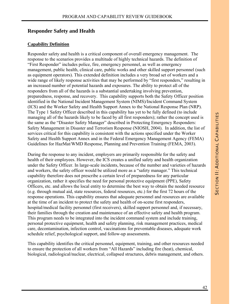# **Responder Safety and Health**

#### **Capability Definition**

Responder safety and health is a critical component of overall emergency management. The response to the scenarios provides a multitude of highly technical hazards. The definition of "First Responder" includes police, fire, emergency personnel, as well as emergency management, public health, clinical care, public works and other skilled support personnel (such as equipment operators). This extended definition includes a very broad set of workers and a wide range of likely response activities that may be performed by "first responders," resulting in an increased number of potential hazards and exposures. The ability to protect all of the responders from all of the hazards is a substantial undertaking involving prevention, preparedness, response, and recovery. This capability supports both the Safety Officer position identified in the National Incident Management System (NIMS)/Incident Command System (ICS) and the Worker Safety and Health Support Annex to the National Response Plan (NRP). The Type 1 Safety Officer described in this capability has yet to be fully defined (to include managing all of the hazards likely to be faced by all first responders); rather the concept used is the same as the "Disaster Safety Manager" described in Protecting Emergency Responders: Safety Management in Disaster and Terrorism Response (NIOSH, 2004). In addition, the list of services critical for this capability is consistent with the actions specified under the Worker Safety and Health Support Annex and in the Federal Emergency Management Agency (FEMA) Guidelines for HazMat/WMD Response, Planning and Prevention Training (FEMA, 2003).

During the response to any incident, employers are primarily responsible for the safety and health of their employees. However, the ICS creates a unified safety and health organization under the Safety Officer. In large-scale incidents, because of the number and varieties of hazards and workers, the safety officer would be utilized more as a "safety manager." This technical capability therefore does not prescribe a certain level of preparedness for any particular organization, rather it specifies the need for personal protective equipment (PPE), Safety Officers, etc. and allows the local entity to determine the best way to obtain the needed resource (e.g. through mutual aid, state resources, federal resources, etc.) for the first 72 hours of the response operations. This capability ensures that adequate personnel and resources are available at the time of an incident to protect the safety and health of on-scene first responders, hospital/medical facility personnel (first receivers), skilled support personnel and, if necessary, their families through the creation and maintenance of an effective safety and health program. This program needs to be integrated into the incident command system and include training, personal protective equipment, health and safety planning, risk management practices, medical care, decontamination, infection control, vaccinations for preventable diseases, adequate work schedule relief, psychological support, and follow-up assessments.

This capability identifies the critical personnel, equipment, training, and other resources needed to ensure the protection of all workers from "All Hazards" including fire (heat), chemical, biological, radiological/nuclear, electrical, collapsed structures, debris management, and others.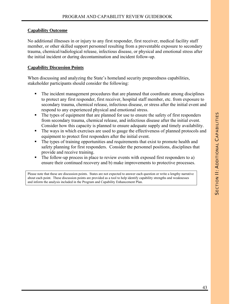#### **Capability Outcome**

No additional illnesses in or injury to any first responder, first receiver, medical facility staff member, or other skilled support personnel resulting from a preventable exposure to secondary trauma, chemical/radiological release, infectious disease, or physical and emotional stress after the initial incident or during decontamination and incident follow-up.

#### **Capability Discussion Points**

When discussing and analyzing the State's homeland security preparedness capabilities, stakeholder participants should consider the following:

- The incident management procedures that are planned that coordinate among disciplines to protect any first responder, first receiver, hospital staff member, etc. from exposure to secondary trauma, chemical release, infectious disease, or stress after the initial event and respond to any experienced physical and emotional stress.
- The types of equipment that are planned for use to ensure the safety of first responders from secondary trauma, chemical release, and infectious disease after the initial event. Consider how this capacity is planned to ensure adequate supply and timely availability.
- The ways in which exercises are used to gauge the effectiveness of planned protocols and equipment to protect first responders after the initial event.
- The types of training opportunities and requirements that exist to promote health and safety planning for first responders. Consider the personnel positions, disciplines that provide and receive training.
- The follow-up process in place to review events with exposed first responders to a) ensure their continued recovery and b) make improvements to protective processes.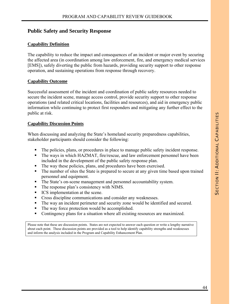# **Public Safety and Security Response**

### **Capability Definition**

The capability to reduce the impact and consequences of an incident or major event by securing the affected area (in coordination among law enforcement, fire, and emergency medical services [EMS]), safely diverting the public from hazards, providing security support to other response operation, and sustaining operations from response through recovery.

#### **Capability Outcome**

Successful assessment of the incident and coordination of public safety resources needed to secure the incident scene, manage access control, provide security support to other response operations (and related critical locations, facilities and resources), and aid in emergency public information while continuing to protect first responders and mitigating any further effect to the public at risk.

#### **Capability Discussion Points**

When discussing and analyzing the State's homeland security preparedness capabilities, stakeholder participants should consider the following:

- The policies, plans, or procedures in place to manage public safety incident response.
- The ways in which HAZMAT, fire/rescue, and law enforcement personnel have been included in the development of the public safety response plan.
- The way these policies, plans, and procedures have been exercised.
- The number of sites the State is prepared to secure at any given time based upon trained personnel and equipment.
- The State's on-scene management and personnel accountability system.
- The response plan's consistency with NIMS.
- ICS implementation at the scene.
- **Cross discipline communications and consider any weaknesses.**
- The way an incident perimeter and security zone would be identified and secured.
- The way force protection would be accomplished.
- Contingency plans for a situation where all existing resources are maximized.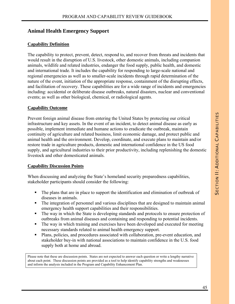# **Animal Health Emergency Support**

## **Capability Definition**

The capability to protect, prevent, detect, respond to, and recover from threats and incidents that would result in the disruption of U.S. livestock, other domestic animals, including companion animals, wildlife and related industries, endanger the food supply, public health, and domestic and international trade. It includes the capability for responding to large-scale national and regional emergencies as well as to smaller-scale incidents through rapid determination of the nature of the event, initiation of the appropriate response, containment of the disrupting effects, and facilitation of recovery. These capabilities are for a wide range of incidents and emergencies including: accidental or deliberate disease outbreaks, natural disasters, nuclear and conventional events; as well as other biological, chemical, or radiological agents.

#### **Capability Outcome**

Prevent foreign animal disease from entering the United States by protecting our critical infrastructure and key assets. In the event of an incident, to detect animal disease as early as possible, implement immediate and humane actions to eradicate the outbreak, maintain continuity of agriculture and related business, limit economic damage, and protect public and animal health and the environment. Develop, coordinate, and execute plans to maintain and/or restore trade in agriculture products, domestic and international confidence in the US food supply, and agricultural industries to their prior productivity, including replenishing the domestic livestock and other domesticated animals.

## **Capability Discussion Points**

When discussing and analyzing the State's homeland security preparedness capabilities, stakeholder participants should consider the following:

- The plans that are in place to support the identification and elimination of outbreak of diseases in animals.
- The integration of personnel and various disciplines that are designed to maintain animal emergency health support capabilities and their responsibilities.
- The way in which the State is developing standards and protocols to ensure protection of outbreaks from animal diseases and containing and responding to potential incidents.
- The way in which training and exercises have been developed and executed for meeting necessary standards related to animal health emergency support.
- Plans, policies, and procedures associated with collaboration, pre-event education, and stakeholder buy-in with national associations to maintain confidence in the U.S. food supply both at home and abroad.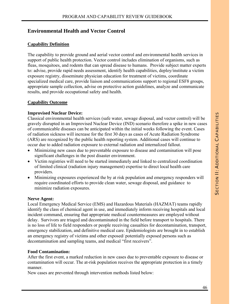# **Environmental Health and Vector Control**

# **Capability Definition**

The capability to provide ground and aerial vector control and environmental health services in support of public health protection. Vector control includes elimination of organisms, such as fleas, mosquitoes, and rodents that can spread disease to humans. Provide subject matter experts to: advise, provide rapid needs assessment, identify health capabilities, deploy/institute a victim exposure registry, disseminate physician education for treatment of victims, coordinate specialized medical care, provide liaison and communications support to regional ESF8 groups, appropriate sample collection, advise on protective action guidelines, analyze and communicate results, and provide occupational safety and health.

# **Capability Outcome**

## **Improvised Nuclear Device:**

Classical environmental health services (safe water, sewage disposal, and vector control) will be gravely disrupted in an Improvised Nuclear Device (IND) scenario therefore a spike in new cases of communicable diseases can be anticipated within the initial weeks following the event. Cases of radiation sickness will increase for the first 30 days as cases of Acute Radiation Syndrome (ARS) are recognized by the public health reporting system. Additional cases will continue to occur due to added radiation exposure to external radiation and internalized fallout.

- Minimizing new cases due to preventable exposure to disease and contamination will pose significant challenges in the post disaster environment.
- Victim registries will need to be started immediately and linked to centralized coordination of limited clinical (radiation injury management) expertise to direct local health care providers.
- Minimizing exposures experienced the by at risk population and emergency responders will require coordinated efforts to provide clean water, sewage disposal, and guidance to minimize radiation exposures.

## **Nerve Agent:**

Local Emergency Medical Service (EMS) and Hazardous Materials (HAZMAT) teams rapidly identify the class of chemical agent in use, and immediately inform receiving hospitals and local incident command, ensuring that appropriate medical countermeasures are employed without delay. Survivors are triaged and decontaminated in the field before transport to hospitals. There is no loss of life to field responders or people receiving casualties for decontamination, transport, emergency stabilization, and definitive medical care. Epidemiologists are brought in to establish an emergency registry of victims and other exposed/ potentially exposed persons such as decontamination and sampling teams, and medical "first receivers".

## **Food Contamination:**

After the first event, a marked reduction in new cases due to preventable exposure to disease or contamination will occur. The at-risk population receives the appropriate protection in a timely manner.

New cases are prevented through intervention methods listed below: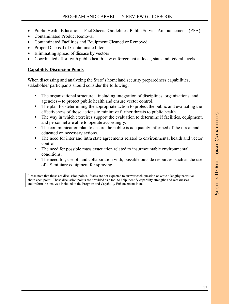- Public Health Education Fact Sheets, Guidelines, Public Service Announcements (PSA)
- Contaminated Product Removal
- Contaminated Facilities and Equipment Cleaned or Removed
- Proper Disposal of Contaminated Items
- Eliminating spread of disease by vectors
- Coordinated effort with public health, law enforcement at local, state and federal levels

#### **Capability Discussion Points**

When discussing and analyzing the State's homeland security preparedness capabilities, stakeholder participants should consider the following:

- The organizational structure including integration of disciplines, organizations, and agencies – to protect public health and ensure vector control.
- The plan for determining the appropriate action to protect the public and evaluating the effectiveness of those actions to minimize further threats to public health.
- The way in which exercises support the evaluation to determine if facilities, equipment, and personnel are able to operate accordingly.
- The communication plan to ensure the public is adequately informed of the threat and educated on necessary actions.
- The need for inter and intra state agreements related to environmental health and vector control.
- The need for possible mass evacuation related to insurmountable environmental conditions.
- The need for, use of, and collaboration with, possible outside resources, such as the use of US military equipment for spraying.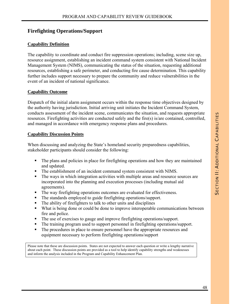# **Firefighting Operations/Support**

## **Capability Definition**

The capability to coordinate and conduct fire suppression operations; including, scene size up, resource assignment, establishing an incident command system consistent with National Incident Management System (NIMS), communicating the status of the situation, requesting additional resources, establishing a safe perimeter, and conducting fire cause determination. This capability further includes support necessary to prepare the community and reduce vulnerabilities in the event of an incident of national significance.

## **Capability Outcome**

Dispatch of the initial alarm assignment occurs within the response time objectives designed by the authority having jurisdiction. Initial arriving unit initiates the Incident Command System, conducts assessment of the incident scene, communicates the situation, and requests appropriate resources. Firefighting activities are conducted safely and the fire(s) is/are contained, controlled, and managed in accordance with emergency response plans and procedures.

## **Capability Discussion Points**

When discussing and analyzing the State's homeland security preparedness capabilities, stakeholder participants should consider the following:

- The plans and policies in place for firefighting operations and how they are maintained and updated.
- The establishment of an incident command system consistent with NIMS.
- The ways in which integration activities with multiple areas and resource sources are incorporated into the planning and execution processes (including mutual aid agreements).
- The way firefighting operations outcomes are evaluated for effectiveness.
- The standards employed to guide firefighting operations/support.
- The ability of firefighters to talk to other units and disciplines
- What is being done or could be done to improve interoperable communications between fire and police.
- The use of exercises to gauge and improve firefighting operations/support.
- The training program used to support personnel in firefighting operations/support.
- The procedures in place to ensure personnel have the appropriate resources and equipment necessary to perform firefighting operations/support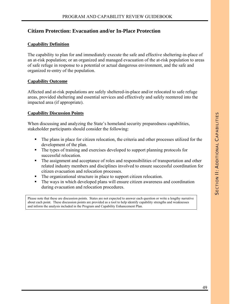# **Citizen Protection: Evacuation and/or In-Place Protection**

## **Capability Definition**

The capability to plan for and immediately execute the safe and effective sheltering-in-place of an at-risk population; or an organized and managed evacuation of the at-risk population to areas of safe refuge in response to a potential or actual dangerous environment, and the safe and organized re-entry of the population.

## **Capability Outcome**

Affected and at-risk populations are safely sheltered-in-place and/or relocated to safe refuge areas, provided sheltering and essential services and effectively and safely reentered into the impacted area (if appropriate).

## **Capability Discussion Points**

When discussing and analyzing the State's homeland security preparedness capabilities, stakeholder participants should consider the following:

- The plans in place for citizen relocation, the criteria and other processes utilized for the development of the plan.
- The types of training and exercises developed to support planning protocols for successful relocation.
- The assignment and acceptance of roles and responsibilities of transportation and other related industry members and disciplines involved to ensure successful coordination for citizen evacuation and relocation processes.
- The organizational structure in place to support citizen relocation.
- The ways in which developed plans will ensure citizen awareness and coordination during evacuation and relocation procedures.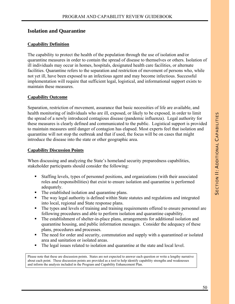# **Isolation and Quarantine**

## **Capability Definition**

The capability to protect the health of the population through the use of isolation and/or quarantine measures in order to contain the spread of disease to themselves or others. Isolation of ill individuals may occur in homes, hospitals, designated health care facilities, or alternate facilities. Quarantine refers to the separation and restriction of movement of persons who, while not yet ill, have been exposed to an infectious agent and may become infectious. Successful implementation will require that sufficient legal, logistical, and informational support exists to maintain these measures.

#### **Capability Outcome**

Separation, restriction of movement, assurance that basic necessities of life are available, and health monitoring of individuals who are ill, exposed, or likely to be exposed, in order to limit the spread of a newly introduced contagious disease (pandemic influenza). Legal authority for these measures is clearly defined and communicated to the public. Logistical support is provided to maintain measures until danger of contagion has elapsed. Most experts feel that isolation and quarantine will not stop the outbreak and that if used, the focus will be on cases that might introduce the disease into the state or other geographic area.

#### **Capability Discussion Points**

When discussing and analyzing the State's homeland security preparedness capabilities, stakeholder participants should consider the following:

- Staffing levels, types of personnel positions, and organizations (with their associated roles and responsibilities) that exist to ensure isolation and quarantine is performed adequately.
- The established isolation and quarantine plans.
- The way legal authority is defined within State statutes and regulations and integrated into local, regional and State response plans.
- The types and levels of training and training requirements offered to ensure personnel are following procedures and able to perform isolation and quarantine capability.
- The establishment of shelter-in-place plans, arrangements for additional isolation and quarantine housing, and public information messages. Consider the adequacy of these plans, procedures and processes.
- The need for order and security, commutation and supply with a quarantined or isolated area and sanitation or isolated areas.
- The legal issues related to isolation and quarantine at the state and local level.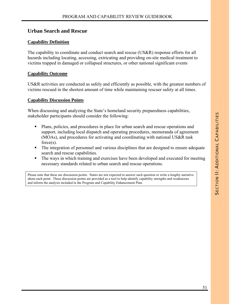# **Urban Search and Rescue**

## **Capability Definition**

The capability to coordinate and conduct search and rescue (US&R) response efforts for all hazards including locating, accessing, extricating and providing on-site medical treatment to victims trapped in damaged or collapsed structures, or other national significant events

## **Capability Outcome**

US&R activities are conducted as safely and efficiently as possible, with the greatest numbers of victims rescued in the shortest amount of time while maintaining rescuer safety at all times.

## **Capability Discussion Points**

When discussing and analyzing the State's homeland security preparedness capabilities, stakeholder participants should consider the following:

- Plans, policies, and procedures in place for urban search and rescue operations and support, including local dispatch and operating procedures, memoranda of agreement (MOAs), and procedures for activating and coordinating with national US&R task force(s).
- The integration of personnel and various disciplines that are designed to ensure adequate search and rescue capabilities.
- The ways in which training and exercises have been developed and executed for meeting necessary standards related to urban search and rescue operations.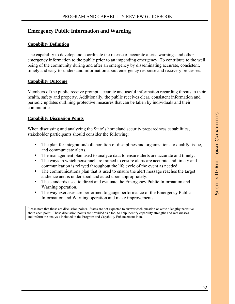# **Emergency Public Information and Warning**

## **Capability Definition**

The capability to develop and coordinate the release of accurate alerts, warnings and other emergency information to the public prior to an impending emergency. To contribute to the well being of the community during and after an emergency by disseminating accurate, consistent, timely and easy-to-understand information about emergency response and recovery processes.

#### **Capability Outcome**

Members of the public receive prompt, accurate and useful information regarding threats to their health, safety and property. Additionally, the public receives clear, consistent information and periodic updates outlining protective measures that can be taken by individuals and their communities.

## **Capability Discussion Points**

When discussing and analyzing the State's homeland security preparedness capabilities, stakeholder participants should consider the following:

- The plan for integration/collaboration of disciplines and organizations to qualify, issue, and communicate alerts.
- The management plan used to analyze data to ensure alerts are accurate and timely.
- The ways in which personnel are trained to ensure alerts are accurate and timely and communication is relayed throughout the life cycle of the event as needed.
- The communications plan that is used to ensure the alert message reaches the target audience and is understood and acted upon appropriately.
- The standards used to direct and evaluate the Emergency Public Information and Warning operation.
- The way exercises are performed to gauge performance of the Emergency Public Information and Warning operation and make improvements.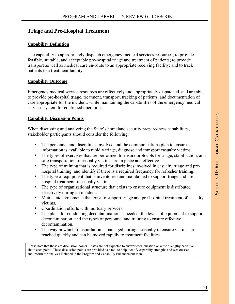# **Triage and Pre-Hospital Treatment**

## **Capability Definition**

The capability to appropriately dispatch emergency medical services resources; to provide feasible, suitable, and acceptable pre-hospital triage and treatment of patients; to provide transport as well as medical care en-route to an appropriate receiving facility; and to track patients to a treatment facility.

## **Capability Outcome**

Emergency medical service resources are effectively and appropriately dispatched, and are able to provide pre-hospital triage, treatment, transport, tracking of patients, and documentation of care appropriate for the incident, while maintaining the capabilities of the emergency medical services system for continued operations.

## **Capability Discussion Points**

When discussing and analyzing the State's homeland security preparedness capabilities, stakeholder participants should consider the following:

- The personnel and disciplines involved and the communications plan to ensure information is available to rapidly triage, diagnose and transport casualty victims.
- The types of exercises that are performed to ensure protocols for triage, stabilization, and safe transportation of casualty victims are in place and effective.
- The type of training that is required for disciplines involved in casualty triage and prehospital training, and identify if there is a required frequency for refresher training.
- The type of equipment that is inventoried and maintained to support triage and prehospital treatment of casualty victims.
- The type of organizational structure that exists to ensure equipment is distributed effectively during an incident.
- Mutual aid agreements that exist to support triage and pre-hospital treatment of casualty victims.
- Coordination efforts with mortuary services.
- The plans for conducting decontamination as needed, the levels of equipment to support decontamination, and the types of personnel and training to ensure effective decontamination.
- The way in which transportation is managed during a casualty to ensure victims are reached quickly and can be moved rapidly to treatment facilities.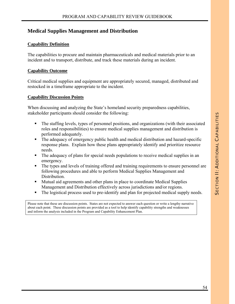# **Medical Supplies Management and Distribution**

### **Capability Definition**

The capabilities to procure and maintain pharmaceuticals and medical materials prior to an incident and to transport, distribute, and track these materials during an incident.

#### **Capability Outcome**

Critical medical supplies and equipment are appropriately secured, managed, distributed and restocked in a timeframe appropriate to the incident.

#### **Capability Discussion Points**

When discussing and analyzing the State's homeland security preparedness capabilities, stakeholder participants should consider the following:

- The staffing levels, types of personnel positions, and organizations (with their associated roles and responsibilities) to ensure medical supplies management and distribution is performed adequately.
- The adequacy of emergency public health and medical distribution and hazard-specific response plans. Explain how these plans appropriately identify and prioritize resource needs.
- The adequacy of plans for special needs populations to receive medical supplies in an emergency.
- The types and levels of training offered and training requirements to ensure personnel are following procedures and able to perform Medical Supplies Management and Distribution.
- **Mutual aid agreements and other plans in place to coordinate Medical Supplies** Management and Distribution effectively across jurisdictions and/or regions.
- The logistical process used to pre-identify and plan for projected medical supply needs.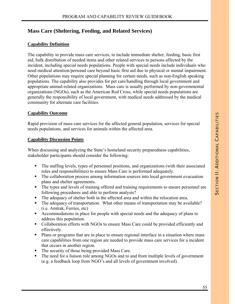# **Mass Care (Sheltering, Feeding, and Related Services)**

## **Capability Definition**

The capability to provide mass care services, to include immediate shelter, feeding, basic first aid, bulk distribution of needed items and other related services to persons affected by the incident, including special needs populations. People with special needs include individuals who need medical attention/personal care beyond basic first aid due to physical or mental impairment. Other populations may require special planning for certain needs, such as non-English speaking populations. The capability also provides for pet care/handling through local government and appropriate animal-related organizations. Mass care is usually performed by non-governmental organizations (NGOs), such as the American Red Cross, while special needs populations are generally the responsibility of local government, with medical needs addressed by the medical community for alternate care facilities.

## **Capability Outcome**

Rapid provision of mass care services for the affected general population, services for special needs populations, and services for animals within the affected area.

#### **Capability Discussion Points**

When discussing and analyzing the State's homeland security preparedness capabilities, stakeholder participants should consider the following:

- The staffing levels, types of personnel positions, and organizations (with their associated roles and responsibilities) to ensure Mass Care is performed adequately.
- The collaboration process among information sources into local government evacuation plans and shelter agreements.
- The types and levels of training offered and training requirements to ensure personnel are following procedures and able to perform analysis?
- The adequacy of shelter both in the affected area and within the relocation area.
- The adequacy of transportation. What other means of transportation may be available? (i.e. Amtrak, Ferries, etc)
- Accommodations in place for people with special needs and the adequacy of plans to address this population.
- Collaboration efforts with NGOs to ensure Mass Care could be provided efficiently and effectively.
- Plans or programs that are in place to ensure regional interface in a situation where mass care capabilities from one region are needed to provide mass care services for a incident that occurs in another region.
- The security of those being provided Mass Care.
- The need for a liaison role among NGOs and to and from multiple levels of government (e.g. a feedback loop from NGO's and all levels of government involved).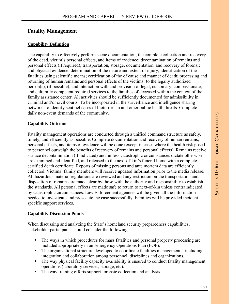# **Fatality Management**

## **Capability Definition**

The capability to effectively perform scene documentation; the complete collection and recovery of the dead, victim's personal effects, and items of evidence; decontamination of remains and personal effects (if required); transportation, storage, documentation, and recovery of forensic and physical evidence; determination of the nature and extent of injury; identification of the fatalities using scientific means; certification of the of cause and manner of death; processing and returning of human remains and personal effects of the victims' to the legally authorized person(s), (if possible); and interaction with and provision of legal, customary, compassionate, and culturally competent required services to the families of deceased within the context of the family assistance center. All activities should be sufficiently documented for admissibility in criminal and/or civil courts. To be incorporated in the surveillance and intelligence sharing networks to identify sentinel cases of bioterrorism and other public health threats. Complete daily non-event demands of the community.

#### **Capability Outcome**

Fatality management operations are conducted through a unified command structure as safely, timely, and efficiently as possible. Complete documentation and recovery of human remains, personal effects, and items of evidence will be done (except in cases where the health risk posed to personnel outweigh the benefits of recovery of remains and personal effects). Remains receive surface decontamination (if indicated) and, unless catastrophic circumstances dictate otherwise, are examined and identified, and released to the next-of-kin's funeral home with a complete certified death certificate. Reports of missing persons and ante mortem data are efficiently collected. Victims' family members will receive updated information prior to the media release. All hazardous material regulations are reviewed and any restriction on the transportation and disposition of remains are made clear by those with the authority and responsibility to establish the standards. All personal effects are made safe to return to next-of-kin unless contraindicated by catastrophic circumstances. Law Enforcement agencies will be given all the information needed to investigate and prosecute the case successfully. Families will be provided incident specific support services.

#### **Capability Discussion Points**

When discussing and analyzing the State's homeland security preparedness capabilities, stakeholder participants should consider the following:

- The ways in which procedures for mass fatalities and personal property processing are included appropriately in an Emergency Operations Plan (EOP).
- The organizational structure developed to coordinate fatalities management including integration and collaboration among personnel, disciplines and organizations.
- The way physical facility capacity availability is ensured to conduct fatality management operations (laboratory services, storage, etc).
- The way training efforts support forensic collection and analysis.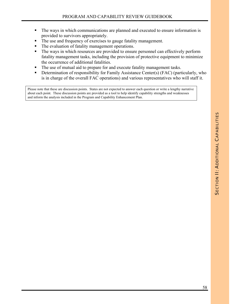- The ways in which communications are planned and executed to ensure information is provided to survivors appropriately.
- The use and frequency of exercises to gauge fatality management.
- The evaluation of fatality management operations.
- The ways in which resources are provided to ensure personnel can effectively perform fatality management tasks, including the provision of protective equipment to minimize the occurrence of additional fatalities.
- The use of mutual aid to prepare for and execute fatality management tasks.
- **•** Determination of responsibility for Family Assistance Center(s) (FAC) (particularly, who is in charge of the overall FAC operations) and various representatives who will staff it.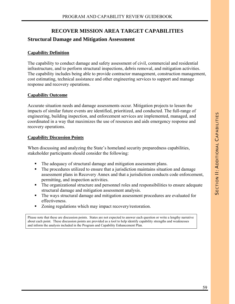# **RECOVER MISSION AREA TARGET CAPABILITIES**

# **Structural Damage and Mitigation Assessment**

## **Capability Definition**

The capability to conduct damage and safety assessment of civil, commercial and residential infrastructure, and to perform structural inspections, debris removal, and mitigation activities. The capability includes being able to provide contractor management, construction management, cost estimating, technical assistance and other engineering services to support and manage response and recovery operations.

## **Capability Outcome**

Accurate situation needs and damage assessments occur. Mitigation projects to lessen the impacts of similar future events are identified, prioritized, and conducted. The full-range of engineering, building inspection, and enforcement services are implemented, managed, and coordinated in a way that maximizes the use of resources and aids emergency response and recovery operations.

## **Capability Discussion Points**

When discussing and analyzing the State's homeland security preparedness capabilities, stakeholder participants should consider the following:

- The adequacy of structural damage and mitigation assessment plans.
- The procedures utilized to ensure that a jurisdiction maintains situation and damage assessment plans in Recovery Annex and that a jurisdiction conducts code enforcement, permitting, and inspection activities.
- The organizational structure and personnel roles and responsibilities to ensure adequate structural damage and mitigation assessment analysis.
- The ways structural damage and mitigation assessment procedures are evaluated for effectiveness.
- Zoning regulations which may impact recovery/restoration.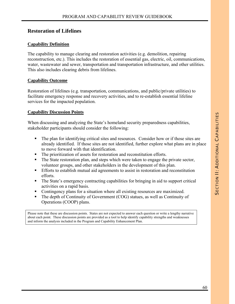# **Restoration of Lifelines**

#### **Capability Definition**

The capability to manage clearing and restoration activities (e.g. demolition, repairing reconstruction, etc.). This includes the restoration of essential gas, electric, oil, communications, water, wastewater and sewer, transportation and transportation infrastructure, and other utilities. This also includes clearing debris from lifelines.

#### **Capability Outcome**

Restoration of lifelines (e.g. transportation, communications, and public/private utilities) to facilitate emergency response and recovery activities, and to re-establish essential lifeline services for the impacted population.

#### **Capability Discussion Points**

When discussing and analyzing the State's homeland security preparedness capabilities, stakeholder participants should consider the following:

- The plan for identifying critical sites and resources. Consider how or if those sites are already identified. If those sites are not identified, further explore what plans are in place to move forward with that identification.
- The prioritization of assets for restoration and reconstitution efforts.
- The State restoration plan, and steps which were taken to engage the private sector, volunteer groups, and other stakeholders in the development of this plan.
- Efforts to establish mutual aid agreements to assist in restoration and reconstitution efforts.
- The State's emergency contracting capabilities for bringing in aid to support critical activities on a rapid basis.
- Contingency plans for a situation where all existing resources are maximized.
- The depth of Continuity of Government (COG) statues, as well as Continuity of Operations (COOP) plans.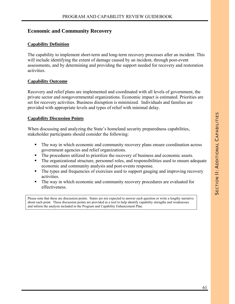# **Economic and Community Recovery**

## **Capability Definition**

The capability to implement short-term and long-term recovery processes after an incident. This will include identifying the extent of damage caused by an incident, through post-event assessments, and by determining and providing the support needed for recovery and restoration activities.

#### **Capability Outcome**

Recovery and relief plans are implemented and coordinated with all levels of government, the private sector and nongovernmental organizations. Economic impact is estimated. Priorities are set for recovery activities. Business disruption is minimized. Individuals and families are provided with appropriate levels and types of relief with minimal delay.

## **Capability Discussion Points**

When discussing and analyzing the State's homeland security preparedness capabilities, stakeholder participants should consider the following:

- The way in which economic and community recovery plans ensure coordination across government agencies and relief organizations.
- The procedures utilized to prioritize the recovery of business and economic assets.
- The organizational structure, personnel roles, and responsibilities used to ensure adequate economic and community analysis and post-events response.
- The types and frequencies of exercises used to support gauging and improving recovery activities.
- The way in which economic and community recovery procedures are evaluated for effectiveness.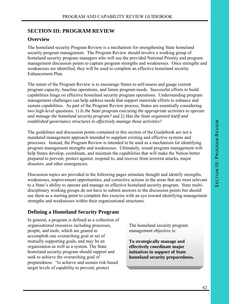# **SECTION III: PROGRAM REVIEW**

# **Overview**

The homeland security Program Review is a mechanism for strengthening State homeland security program management. The Program Review should involve a working group of homeland security program managers who will use the provided National Priority and program management discussion points to capture program strengths and weaknesses. Once strengths and weaknesses are identified, they will be used to complete an effective homeland security Enhancement Plan.

The intent of the Program Review is to encourage States to self-assess and gauge current program capacity, baseline operations, and future program needs. Successful efforts to build capabilities hinge on effective homeland security program operations. Understanding program management challenges can help address needs that support statewide efforts to enhance and sustain capabilities. As part of the Program Review process, States are essentially considering two high-level questions: 1) *Is the State program executing the appropriate activities to operate and manage the homeland security program?* and 2) *Has the State organized itself and established governance structures to effectively manage those activities?*

The guidelines and discussion points contained in this section of the Guidebook are not a mandated management approach intended to supplant existing and effective systems and processes. Instead, the Program Review is intended to be used as a mechanism for identifying program management strengths and weaknesses. Ultimately, sound program management will help States develop, coordinate, and maintain the capabilities that will make the Nation better prepared to prevent, protect against, respond to, and recover from terrorist attacks, major disasters, and other emergencies.

Discussion topics are provided in the following pages stimulate thought and identify strengths, weaknesses, improvement opportunities, and corrective actions in the areas that are most relevant to a State's ability to operate and manage an effective homeland security program. State multidisciplinary working groups do not have to submit answers to the discussion points but should use them as a starting point to complete this exercise with an eye toward identifying management strengths and weaknesses within their organizational structures.

# **Defining a Homeland Security Program**

In general, a program is defined as a collection of organizational resources including processes, people, and tools, which are geared to accomplish one overarching goal or set of mutually supporting goals, and may be an organization as well as a system. The State homeland security program should support and seek to achieve the overarching goal of preparedness: "to achieve and sustain risk-based target levels of capability to prevent, protect

The homeland security program management objective is:

**To strategically manage and effectively coordinate major initiatives in support of State homeland security preparedness.**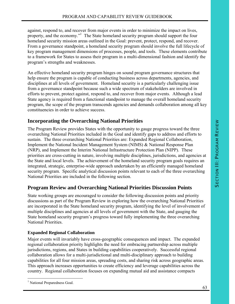against, respond to, and recover from major events in order to minimize the impact on lives, property, and the economy."<sup>1</sup> The State homeland security program should support the four homeland security mission areas outlined in the Goal: prevent, protect, respond, and recover. From a governance standpoint, a homeland security program should involve the full lifecycle of key program management dimensions of processes, people, and tools. These elements contribute to a framework for States to assess their program in a multi-dimensional fashion and identify the program's strengths and weaknesses.

An effective homeland security program hinges on sound program governance structures that help ensure the program is capable of conducting business across departments, agencies, and disciplines at all levels of government. Homeland security is a particularly challenging issue from a governance standpoint because such a wide spectrum of stakeholders are involved in efforts to prevent, protect against, respond to, and recover from major events. Although a lead State agency is required from a functional standpoint to manage the overall homeland security program, the scope of the program transcends agencies and demands collaboration among all key constituencies in order to achieve success.

# **Incorporating the Overarching National Priorities**

The Program Review provides States with the opportunity to gauge progress toward the three overarching National Priorities included in the Goal and identify gaps to address and efforts to sustain. The three overarching National Priorities are: Expanded Regional Collaboration, Implement the National Incident Management System (NIMS) & National Response Plan (NRP), and Implement the Interim National Infrastructure Protection Plan (NIPP). These priorities are cross-cutting in nature, involving multiple disciplines, jurisdictions, and agencies at the State and local levels. The achievement of the homeland security program goals requires an integrated, strategic, enterprise-wide approach undertaken by an efficiently managed homeland security program. Specific analytical discussion points relevant to each of the three overarching National Priorities are included in the following section.

# **Program Review and Overarching National Priorities Discussion Points**

State working groups are encouraged to consider the following discussion points and priority discussions as part of the Program Review in exploring how the overarching National Priorities are incorporated in the State homeland security program, identifying the level of involvement of multiple disciplines and agencies at all levels of government with the State, and gauging the State homeland security program's progress toward fully implementing the three overarching National Priorities.

# **Expanded Regional Collaboration**

Major events will invariably have cross-geographic consequences and impact. The expanded regional collaboration priority highlights the need for embracing partnership across multiple jurisdictions, regions, and States in building capabilities cooperatively. Successful regional collaboration allows for a multi-jurisdictional and multi-disciplinary approach to building capabilities for all four mission areas, spreading costs, and sharing risk across geographic areas. This approach increases opportunities to create efficiency and leverage capabilities across the country. Regional collaboration focuses on expanding mutual aid and assistance compacts

 $\overline{a}$ <sup>1</sup> National Preparedness Goal.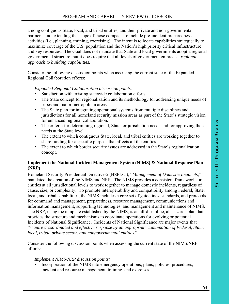among contiguous State, local, and tribal entities, and their private and non-governmental partners, and extending the scope of those compacts to include pre-incident preparedness activities (i.e., planning, training, exercising). The intent is to locate capabilities strategically to maximize coverage of the U.S. population and the Nation's high priority critical infrastructure and key resources. The Goal does not mandate that State and local governments adopt a regional governmental structure, but it does require that all levels of government embrace a *regional approach to building capabilities.* 

Consider the following discussion points when assessing the current state of the Expanded Regional Collaboration efforts:

*Expanded Regional Collaboration discussion points:* 

- Satisfaction with existing statewide collaboration efforts.
- The State concept for regionalization and its methodology for addressing unique needs of tribes and major metropolitan areas.
- The State plan for integrating operational systems from multiple disciplines and jurisdictions for all homeland security mission areas as part of the State's strategic vision for enhanced regional collaboration.
- The criteria for determining regional, State, or jurisdiction needs and for approving those needs at the State level.
- The extent to which contiguous State, local, and tribal entities are working together to share funding for a specific purpose that affects all the entities.
- The extent to which border security issues are addressed in the State's regionalization concept.

## **Implement the National Incident Management System (NIMS) & National Response Plan (NRP)**

Homeland Security Presidential Directive**-**5 (HSPD-5), "*Management of Domestic Incidents*," mandated the creation of the NIMS and NRP. The NIMS provides a consistent framework for entities at all jurisdictional levels to work together to manage domestic incidents, regardless of cause, size, or complexity. To promote interoperability and compatibility among Federal, State, local, and tribal capabilities, the NIMS includes a core set of guidelines, standards, and protocols for command and management, preparedness, resource management, communications and information management, supporting technologies, and management and maintenance of NIMS. The NRP, using the template established by the NIMS, is an all-discipline, all-hazards plan that provides the structure and mechanisms to coordinate operations for evolving or potential Incidents of National Significance. Incidents of National Significance are major events that "*require a coordinated and effective response by an appropriate combination of Federal, State, local, tribal, private sector, and nongovernmental entities*."

Consider the following discussion points when assessing the current state of the NIMS/NRP efforts:

#### *Implement NIMS/NRP discussion points:*

Incorporation of the NIMS into emergency operations, plans, policies, procedures, incident and resource management, training, and exercises.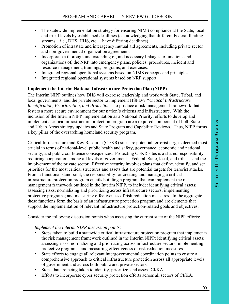- The statewide implementation strategy for ensuring NIMS compliance at the State, local, and tribal levels by established deadlines (acknowledging that different Federal funding streams – i.e., DHS, HHS, etc. – have differing deadlines).
- Promotion of intrastate and interagency mutual aid agreements, including private sector and non-governmental organization agreements.
- Incorporate a thorough understanding of, and necessary linkages to functions and organizations of, the NRP into emergency plans, policies, procedures, incident and resource management, trainings, programs, and exercises.
- Integrated regional operational systems based on NIMS concepts and principles.
- Integrated regional operational systems based on NRP support.

#### **Implement the Interim National Infrastructure Protection Plan (NIPP)**

The Interim NIPP outlines how DHS will exercise leadership and work with State, Tribal, and local governments, and the private sector to implement HSPD-7 *"Critical Infrastructure Identification, Prioritization, and Protection,"* to produce a risk management framework that fosters a more secure environment for our nation's citizens and infrastructure. With the inclusion of the Interim NIPP implementation as a National Priority, efforts to develop and implement a critical infrastructure protection program are a required component of both States and Urban Areas strategy updates and State Program and Capability Reviews. Thus, NIPP forms a key pillar of the overarching homeland security program.

Critical Infrastructure and Key Resource (CI/KR) sites are potential terrorist targets deemed most crucial in terms of national-level public health and safety, governance, economic and national security, and public confidence consequences. Protecting CI/KR sites is a shared responsibility requiring cooperation among all levels of government – Federal, State, local, and tribal – and the involvement of the private sector. Effective security involves plans that define, identify, and set priorities for the most critical structures and assets that are potential targets for terrorist attacks. From a functional standpoint, the responsibility for creating and managing a critical infrastructure protection program entails building a program that can implement the risk management framework outlined in the Interim NIPP, to include: identifying critical assets; assessing risks; normalizing and prioritizing across infrastructure sectors; implementing protective programs; and measuring effectiveness of risk reduction measures. In the aggregate, these functions form the basis of an infrastructure protection program and are elements that support the implementation of relevant infrastructure protection-related goals and objectives.

Consider the following discussion points when assessing the current state of the NIPP efforts:

#### *Implement the Interim NIPP discussion points:*

- Steps taken to build a statewide critical infrastructure protection program that implements the risk management framework outlined in the Interim NIPP: identifying critical assets; assessing risks; normalizing and prioritizing across infrastructure sectors; implementing protective programs; and measuring effectiveness of risk reduction measures.
- State efforts to engage all relevant intergovernmental coordination points to ensure a comprehensive approach to critical infrastructure protection across all appropriate levels of government and across both public and private sectors.
- Steps that are being taken to identify, prioritize, and assess CI/KA.
- Efforts to incorporate cyber security protection efforts across all sectors of CI/KA.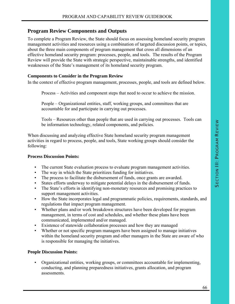# **Program Review Components and Outputs**

To complete a Program Review, the State should focus on assessing homeland security program management activities and resources using a combination of targeted discussion points, or topics, about the three main components of program management that cross all dimensions of an effective homeland security program: processes, people, and tools. The results of the Program Review will provide the State with strategic perspective, maintainable strengths, and identified weaknesses of the State's management of its homeland security program.

#### **Components to Consider in the Program Review**

In the context of effective program management, processes, people, and tools are defined below.

Process – Activities and component steps that need to occur to achieve the mission.

People – Organizational entities, staff, working groups, and committees that are accountable for and participate in carrying out processes.

Tools – Resources other than people that are used in carrying out processes. Tools can be information technology, related components, and policies.

When discussing and analyzing effective State homeland security program management activities in regard to process, people, and tools, State working groups should consider the following:

#### **Process Discussion Points:**

- The current State evaluation process to evaluate program management activities.
- The way in which the State prioritizes funding for initiatives.
- The process to facilitate the disbursement of funds, once grants are awarded.
- States efforts underway to mitigate potential delays in the disbursement of funds.
- The State's efforts in identifying non-monetary resources and promising practices to support management activities.
- How the State incorporates legal and programmatic policies, requirements, standards, and regulations that impact program management.
- Whether plans and/or work breakdown structures have been developed for program management, in terms of cost and schedules, and whether these plans have been communicated, implemented and/or managed.
- Existence of statewide collaboration processes and how they are managed
- Whether or not specific program managers have been assigned to manage initiatives within the homeland security program and other managers in the State are aware of who is responsible for managing the initiatives.

#### **People Discussion Points:**

Organizational entities, working groups, or committees accountable for implementing, conducting, and planning preparedness initiatives, grants allocation, and program assessments.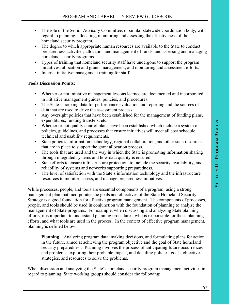- The role of the Senior Advisory Committee, or similar statewide coordination body, with regard to planning, allocating, monitoring and assessing the effectiveness of the homeland security program.
- The degree to which appropriate human resources are available to the State to conduct preparedness activities, allocation and management of funds, and assessing and managing homeland security programs.
- Types of training that homeland security staff have undergone to support the program initiatives, allocation and grants management, and monitoring and assessment efforts.
- Internal initiative management training for staff

#### **Tools Discussion Points:**

- Whether or not initiative management lessons learned are documented and incorporated in initiative management guides, policies, and procedures.
- The State's tracking data for performance evaluation and reporting and the sources of data that are used to drive the assessment process.
- Any oversight policies that have been established for the management of funding plans, expenditures, funding transfers, etc.
- Whether or not quality control plans have been established which include a system of policies, guidelines, and processes that ensure initiatives will meet all cost schedule, technical and usability requirements.
- State policies, information technology, regional collaboration, and other such resources that are in place to support the grant allocation process.
- The tools that are used and the way in which the State is promoting information sharing through integrated systems and how data quality is ensured.
- State efforts to ensure infrastructure protection, to include the security, availability, and reliability of systems and networks supporting preparedness.
- The level of satisfaction with the State's information technology and the infrastructure resources to monitor, assess, and manage preparedness initiatives.

While processes, people, and tools are essential components of a program, using a strong management plan that incorporates the goals and objectives of the State Homeland Security Strategy is a good foundation for effective program management. The components of processes, people, and tools should be used in conjunction with the foundation of planning to analyze the management of State programs. For example, when discussing and analyzing State planning efforts, it is important to understand planning procedures, who is responsible for those planning efforts, and what tools are used in the process. In the context of effective program management, planning is defined below:

**Planning** – Analyzing program data, making decisions, and formulating plans for action in the future, aimed at achieving the program objective and the goal of State homeland security preparedness. Planning involves the process of anticipating future occurrences and problems, exploring their probable impact, and detailing policies, goals, objectives, strategies, and resources to solve the problems.

When discussion and analyzing the State's homeland security program management activities in regard to planning, State working groups should consider the following: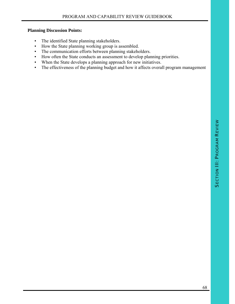## **Planning Discussion Points:**

- The identified State planning stakeholders.
- How the State planning working group is assembled.
- The communication efforts between planning stakeholders.
- How often the State conducts an assessment to develop planning priorities.
- When the State develops a planning approach for new initiatives.
- The effectiveness of the planning budget and how it affects overall program management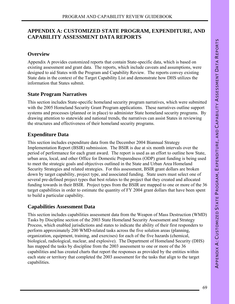# **APPENDIX A: CUSTOMIZED STATE PROGRAM, EXPENDITURE, AND CAPABILITY ASSESSMENT DATA REPORTS**

# **Overview**

Appendix A provides customized reports that contain State-specific data, which is based on existing assessment and grant data. The reports, which include caveats and assumptions, were designed to aid States with the Program and Capability Review. The reports convey existing State data in the context of the Target Capability List and demonstrate how DHS utilizes the information that States submit.

# **State Program Narratives**

This section includes State-specific homeland security program narratives, which were submitted with the 2005 Homeland Security Grant Program applications. These narratives outline support systems and processes (planned or in place) to administer State homeland security programs. By drawing attention to statewide and national trends, the narratives can assist States in reviewing the structures and effectiveness of their homeland security programs.

# **Expenditure Data**

This section includes expenditure data from the December 2004 Biannual Strategy Implementation Report (BSIR) submission. The BSIR is due at six month intervals over the period of performance for each grant award. The report is used as an effort to outline how State, urban area, local, and other Office for Domestic Preparedness (ODP) grant funding is being used to meet the strategic goals and objectives outlined in the State and Urban Area Homeland Security Strategies and related strategies. For this assessment, BSIR grant dollars are broken down by target capability, project type, and associated funding. State users must select one of several pre-defined project types that best relates to the project that they created and allocated funding towards in their BSIR. Project types from the BSIR are mapped to one or more of the 36 target capabilities in order to estimate the quantity of FY 2004 grant dollars that have been spent to build a particular capability.

# **Capabilities Assessment Data**

This section includes capabilities assessment data from the Weapon of Mass Destruction (WMD) Tasks by Discipline section of the 2003 State Homeland Security Assessment and Strategy Process, which enabled jurisdictions and states to indicate the ability of their first responders to perform approximately 200 WMD-related tasks across the five solution areas (planning, organization, equipment, training, and exercises) for each of the five hazards (chemical, biological, radiological, nuclear, and explosive). The Department of Homeland Security (DHS) has mapped the tasks by discipline from the 2003 assessment to one or more of the 36 capabilities and has created charts that report the responses as provided by the entities within each state or territory that completed the 2003 assessment for the tasks that align to the target capabilities.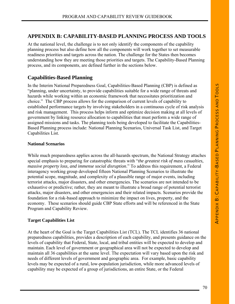# **APPENDIX B: CAPABILITY-BASED PLANNING PROCESS AND TOOLS**

At the national level, the challenge is to not only identify the components of the capability planning process but also define how all the components will work together to set measurable readiness priorities and targets across the nation. The challenge for the States then becomes understanding how they are meeting those priorities and targets. The Capability-Based Planning process, and its components, are defined further in the sections below.

# **Capabilities-Based Planning**

In the Interim National Preparedness Goal, Capabilities-Based Planning (CBP) is defined as "planning, under uncertainty, to provide capabilities suitable for a wide range of threats and hazards while working within an economic framework that necessitates prioritization and choice." The CBP process allows for the comparison of current levels of capability to established performance targets by involving stakeholders in a continuous cycle of risk analysis and risk management. This process helps inform and optimize decision making at all levels of government by linking resource allocation to capabilities that must perform a wide range of assigned missions and tasks. The planning tools being developed to facilitate the Capabilities-Based Planning process include: National Planning Scenarios, Universal Task List, and Target Capabilities List.

#### **National Scenarios**

While much preparedness applies across the all-hazards spectrum, the National Strategy attaches special emphasis to preparing for catastrophic threats with "*the greatest risk of mass casualties, massive property loss, and immense social disruption*." To address this requirement, a Federal interagency working group developed fifteen National Planning Scenarios to illustrate the potential scope, magnitude, and complexity of a plausible range of major events, including terrorist attacks, major disasters, and other emergencies. The scenarios are not intended to be exhaustive or predictive; rather, they are meant to illustrate a broad range of potential terrorist attacks, major disasters, and other emergencies and their related impacts. Scenarios provide the foundation for a risk-based approach to minimize the impact on lives, property, and the economy. These scenarios should guide CBP State efforts and will be referenced in the State Program and Capability Review.

#### **Target Capabilities List**

At the heart of the Goal is the Target Capabilities List (TCL). The TCL identifies 36 national preparedness capabilities, provides a description of each capability, and presents guidance on the levels of capability that Federal, State, local, and tribal entities will be expected to develop and maintain. Each level of government or geographical area will not be expected to develop and maintain all 36 capabilities at the same level. The expectation will vary based upon the risk and needs of different levels of government and geographic area. For example, basic capability levels may be expected of a rural, low-population jurisdiction, while more advanced levels of capability may be expected of a group of jurisdictions, an entire State, or the Federal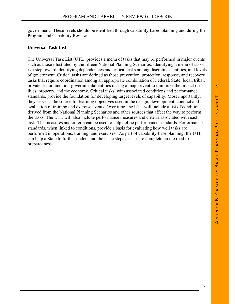government. These levels should be identified through capability-based planning and during the Program and Capability Review.

## **Universal Task List**

The Universal Task List (UTL) provides a menu of tasks that may be performed in major events such as those illustrated by the fifteen National Planning Scenarios. Identifying a menu of tasks is a step toward identifying dependencies and critical tasks among disciplines, entities, and levels of government. Critical tasks are defined as those prevention, protection, response, and recovery tasks that require coordination among an appropriate combination of Federal, State, local, tribal, private sector, and non-governmental entities during a major event to minimize the impact on lives, property, and the economy. Critical tasks, with associated conditions and performance standards, provide the foundation for developing target levels of capability. Most importantly, they serve as the source for learning objectives used in the design, development, conduct and evaluation of training and exercise events. Over time, the UTL will include a list of conditions derived from the National Planning Scenarios and other sources that affect the way to perform the tasks. The UTL will also include performance measures and criteria associated with each task. The measures and criteria can be used to help define performance standards. Performance standards, when linked to conditions, provide a basis for evaluating how well tasks are performed in operations, training, and exercises. As part of capability-base planning, the UTL can help a State to further understand the basic steps or tasks to complete on the road to preparedness.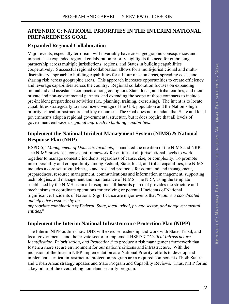# **APPENDIX C: NATIONAL PRIORITIES IN THE INTERIM NATIONAL PREPAREDNESS GOAL**

### **Expanded Regional Collaboration**

Major events, especially terrorism, will invariably have cross-geographic consequences and impact. The expanded regional collaboration priority highlights the need for embracing partnership across multiple jurisdictions, regions, and States in building capabilities cooperatively. Successful regional collaboration allows for a multi-jurisdictional and multidisciplinary approach to building capabilities for all four mission areas, spreading costs, and sharing risk across geographic areas. This approach increases opportunities to create efficiency and leverage capabilities across the country. Regional collaboration focuses on expanding mutual aid and assistance compacts among contiguous State, local, and tribal entities, and their private and non-governmental partners, and extending the scope of those compacts to include pre-incident preparedness activities (i.e., planning, training, exercising). The intent is to locate capabilities strategically to maximize coverage of the U.S. population and the Nation's high priority critical infrastructure and key resources. The Goal does not mandate that State and local governments adopt a regional governmental structure, but it does require that all levels of government embrace a *regional approach to building capabilities.* 

# **Implement the National Incident Management System (NIMS) & National Response Plan (NRP)**

HSPD**-**5, "*Management of Domestic Incidents*," mandated the creation of the NIMS and NRP. The NIMS provides a consistent framework for entities at all jurisdictional levels to work together to manage domestic incidents, regardless of cause, size, or complexity. To promote interoperability and compatibility among Federal, State, local, and tribal capabilities, the NIMS includes a core set of guidelines, standards, and protocols for command and management, preparedness, resource management, communications and information management, supporting technologies, and management and maintenance of NIMS. The NRP, using the template established by the NIMS, is an all-discipline, all-hazards plan that provides the structure and mechanisms to coordinate operations for evolving or potential Incidents of National Significance. Incidents of National Significance are major events that "*require a coordinated and effective response by an*

*appropriate combination of Federal, State, local, tribal, private sector, and nongovernmental entities*."

# **Implement the Interim National Infrastructure Protection Plan (NIPP)**

The Interim NIPP outlines how DHS will exercise leadership and work with State, Tribal, and local governments, and the private sector to implement HSPD-7 *"Critical Infrastructure Identification, Prioritization, and Protection,"* to produce a risk management framework that fosters a more secure environment for our nation's citizens and infrastructure. With the inclusion of the Interim NIPP implementation as a National Priority, efforts to develop and implement a critical infrastructure protection program are a required component of both States and Urban Areas strategy updates and State Program and Capability Reviews. Thus, NIPP forms a key pillar of the overarching homeland security program.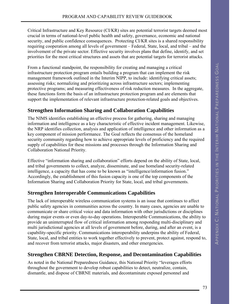Critical Infrastructure and Key Resource (CI/KR) sites are potential terrorist targets deemed most crucial in terms of national-level public health and safety, governance, economic and national security, and public confidence consequences. Protecting CI/KR sites is a shared responsibility requiring cooperation among all levels of government – Federal, State, local, and tribal – and the involvement of the private sector. Effective security involves plans that define, identify, and set priorities for the most critical structures and assets that are potential targets for terrorist attacks.

From a functional standpoint, the responsibility for creating and managing a critical infrastructure protection program entails building a program that can implement the risk management framework outlined in the Interim NIPP, to include: identifying critical assets; assessing risks; normalizing and prioritizing across infrastructure sectors; implementing protective programs; and measuring effectiveness of risk reduction measures. In the aggregate, these functions form the basis of an infrastructure protection program and are elements that support the implementation of relevant infrastructure protection-related goals and objectives.

## **Strengthen Information Sharing and Collaboration Capabilities**

The NIMS identifies establishing an effective process for gathering, sharing and managing information and intelligence as a key characteristic of effective incident management. Likewise, the NRP identifies collection, analysis and application of intelligence and other information as a key component of mission performance. The Goal reflects the consensus of the homeland security community regarding how to achieve appropriate levels of proficiency and the required supply of capabilities for these missions and processes through the Information Sharing and Collaboration National Priority.

Effective "information sharing and collaboration" efforts depend on the ability of State, local, and tribal governments to collect, analyze, disseminate, and use homeland security-related intelligence, a capacity that has come to be known as "intelligence/information fusion." Accordingly, the establishment of this fusion capacity is one of the top components of the Information Sharing and Collaboration Priority for State, local, and tribal governments.

## **Strengthen Interoperable Communications Capabilities**

The lack of interoperable wireless communication systems is an issue that continues to affect public safety agencies in communities across the country. In many cases, agencies are unable to communicate or share critical voice and data information with other jurisdictions or disciplines during major events or even day-to-day operations. Interoperable Communications, the ability to provide an uninterrupted flow of critical information among responding multi-disciplinary and multi jurisdictional agencies at all levels of government before, during, and after an event, is a capability-specific priority. Communications interoperability underpins the ability of Federal, State, local, and tribal entities to work together effectively to prevent, protect against, respond to, and recover from terrorist attacks, major disasters, and other emergencies.

## **Strengthen CBRNE Detection, Response, and Decontamination Capabilities**

As noted in the National Preparedness Guidance, this National Priority "leverages efforts throughout the government to develop robust capabilities to detect, neutralize, contain, dismantle, and dispose of CBRNE materials, and decontaminate exposed personnel and